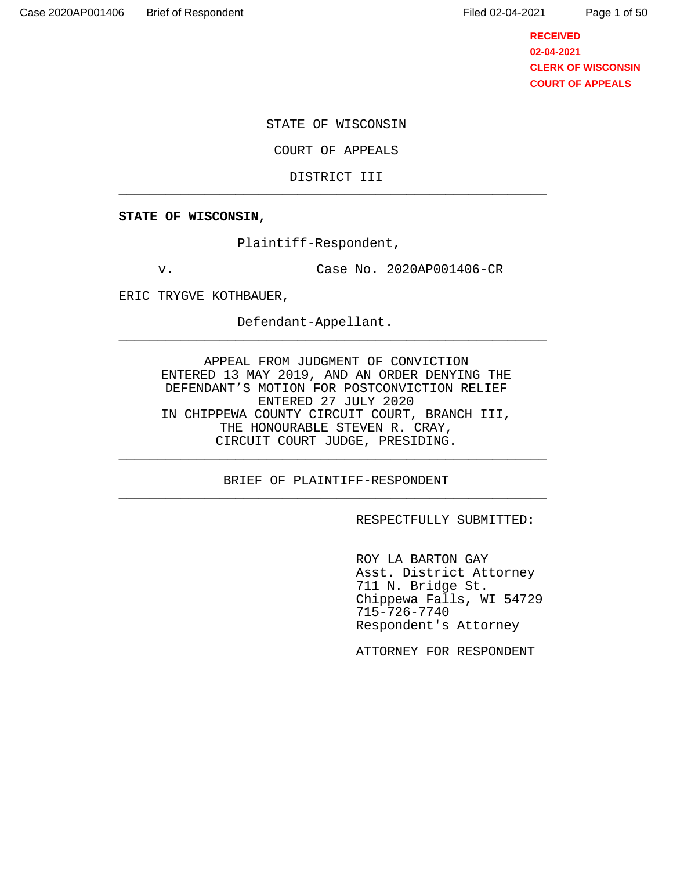Page 1 of 50

**RECEIVED 02-04-2021 CLERK OF WISCONSIN COURT OF APPEALS**

STATE OF WISCONSIN

COURT OF APPEALS

DISTRICT III \_\_\_\_\_\_\_\_\_\_\_\_\_\_\_\_\_\_\_\_\_\_\_\_\_\_\_\_\_\_\_\_\_\_\_\_\_\_\_\_\_\_\_\_\_\_\_\_\_\_\_\_\_\_\_

**STATE OF WISCONSIN**,

Plaintiff-Respondent,

v. Case No. 2020AP001406-CR

ERIC TRYGVE KOTHBAUER,

Defendant-Appellant.

APPEAL FROM JUDGMENT OF CONVICTION ENTERED 13 MAY 2019, AND AN ORDER DENYING THE DEFENDANT'S MOTION FOR POSTCONVICTION RELIEF ENTERED 27 JULY 2020 IN CHIPPEWA COUNTY CIRCUIT COURT, BRANCH III, THE HONOURABLE STEVEN R. CRAY, CIRCUIT COURT JUDGE, PRESIDING.

\_\_\_\_\_\_\_\_\_\_\_\_\_\_\_\_\_\_\_\_\_\_\_\_\_\_\_\_\_\_\_\_\_\_\_\_\_\_\_\_\_\_\_\_\_\_\_\_\_\_\_\_\_\_\_

BRIEF OF PLAINTIFF-RESPONDENT \_\_\_\_\_\_\_\_\_\_\_\_\_\_\_\_\_\_\_\_\_\_\_\_\_\_\_\_\_\_\_\_\_\_\_\_\_\_\_\_\_\_\_\_\_\_\_\_\_\_\_\_\_\_\_

\_\_\_\_\_\_\_\_\_\_\_\_\_\_\_\_\_\_\_\_\_\_\_\_\_\_\_\_\_\_\_\_\_\_\_\_\_\_\_\_\_\_\_\_\_\_\_\_\_\_\_\_\_\_\_

RESPECTFULLY SUBMITTED:

 ROY LA BARTON GAY Asst. District Attorney 711 N. Bridge St. Chippewa Falls, WI 54729 715-726-7740 Respondent's Attorney

ATTORNEY FOR RESPONDENT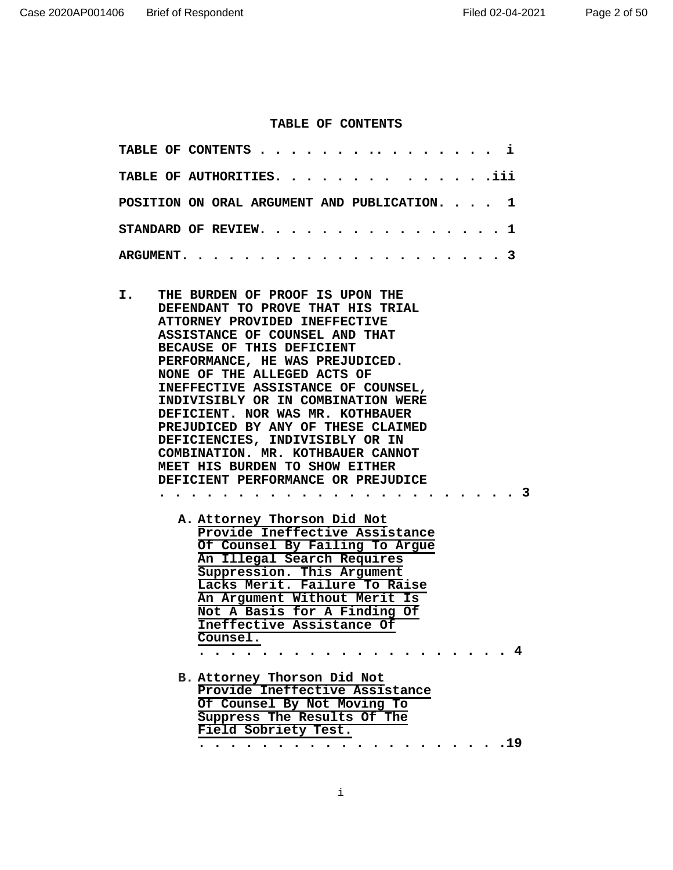#### **TABLE OF CONTENTS**

| TABLE OF CONTENTS $\cdots \cdots \cdots \cdots \cdots$ |  |  |  |  |  |  |  |  |  |  |  |
|--------------------------------------------------------|--|--|--|--|--|--|--|--|--|--|--|
| <b>TABLE OF AUTHORITIES.iii</b>                        |  |  |  |  |  |  |  |  |  |  |  |
| POSITION ON ORAL ARGUMENT AND PUBLICATION. $\ldots$ 1  |  |  |  |  |  |  |  |  |  |  |  |
| STANDARD OF REVIEW. 1                                  |  |  |  |  |  |  |  |  |  |  |  |
|                                                        |  |  |  |  |  |  |  |  |  |  |  |

- **I. THE BURDEN OF PROOF IS UPON THE DEFENDANT TO PROVE THAT HIS TRIAL ATTORNEY PROVIDED INEFFECTIVE ASSISTANCE OF COUNSEL AND THAT BECAUSE OF THIS DEFICIENT PERFORMANCE, HE WAS PREJUDICED. NONE OF THE ALLEGED ACTS OF INEFFECTIVE ASSISTANCE OF COUNSEL, INDIVISIBLY OR IN COMBINATION WERE DEFICIENT. NOR WAS MR. KOTHBAUER PREJUDICED BY ANY OF THESE CLAIMED DEFICIENCIES, INDIVISIBLY OR IN COMBINATION. MR. KOTHBAUER CANNOT MEET HIS BURDEN TO SHOW EITHER DEFICIENT PERFORMANCE OR PREJUDICE** 
	- **A. Attorney Thorson Did Not Provide Ineffective Assistance Of Counsel By Failing To Argue An Illegal Search Requires Suppression. This Argument Lacks Merit. Failure To Raise An Argument Without Merit Is Not A Basis for A Finding Of Ineffective Assistance Of Counsel. . . . . . . . . . . . . . . . . . . . . 4**

**. . . . . . . . . . . . . . . . . . . . . . . 3** 

**B. Attorney Thorson Did Not Provide Ineffective Assistance Of Counsel By Not Moving To Suppress The Results Of The Field Sobriety Test. . . . . . . . . . . . . . . . . . . . .19**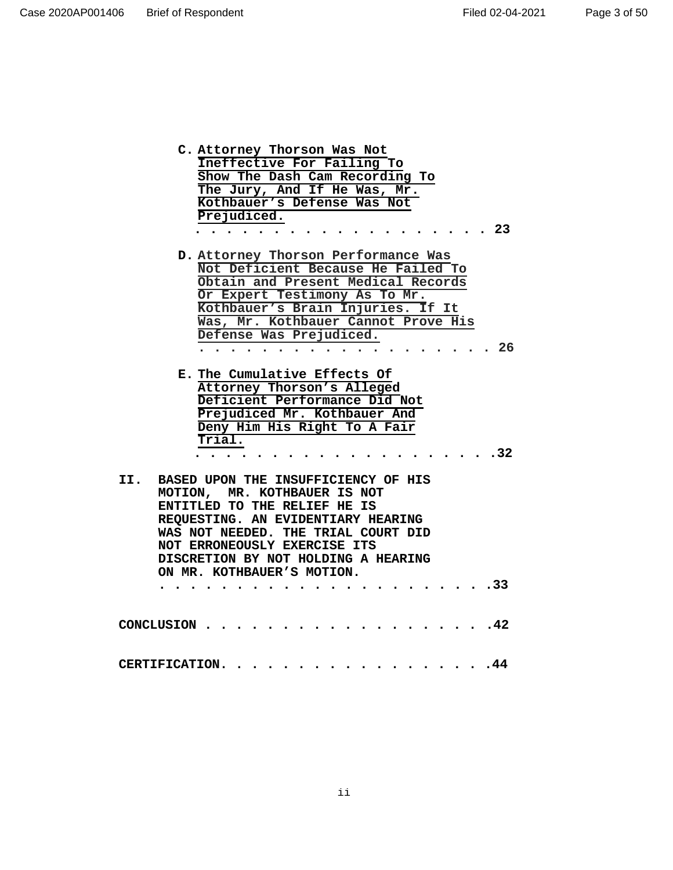| D. Attorney Thorson Performance Was<br>Not Deficient Because He Failed To<br>Obtain and Present Medical Records                                                                                                                                                                                     |
|-----------------------------------------------------------------------------------------------------------------------------------------------------------------------------------------------------------------------------------------------------------------------------------------------------|
| Or Expert Testimony As To Mr.<br>Kothbauer's Brain Injuries. If It<br>Was, Mr. Kothbauer Cannot Prove His<br>Defense Was Prejudiced.<br>. . 26<br>.                                                                                                                                                 |
| E. The Cumulative Effects Of<br>Attorney Thorson's Alleged<br>Deficient Performance Did Not<br>Prejudiced Mr. Kothbauer And<br>Deny Him His Right To A Fair<br>$\overline{\texttt{Trial}}$ .<br>.32                                                                                                 |
| BASED UPON THE INSUFFICIENCY OF HIS<br>II.<br>MOTION, MR. KOTHBAUER IS NOT<br>ENTITLED TO THE RELIEF HE IS<br>REQUESTING. AN EVIDENTIARY HEARING<br>WAS NOT NEEDED. THE TRIAL COURT DID<br>NOT ERRONEOUSLY EXERCISE ITS<br>DISCRETION BY NOT HOLDING A HEARING<br>ON MR. KOTHBAUER'S MOTION.<br>.33 |
| .42<br>CONCLUSION                                                                                                                                                                                                                                                                                   |
| $\ddotsc 44$<br>CERTIFICATION.                                                                                                                                                                                                                                                                      |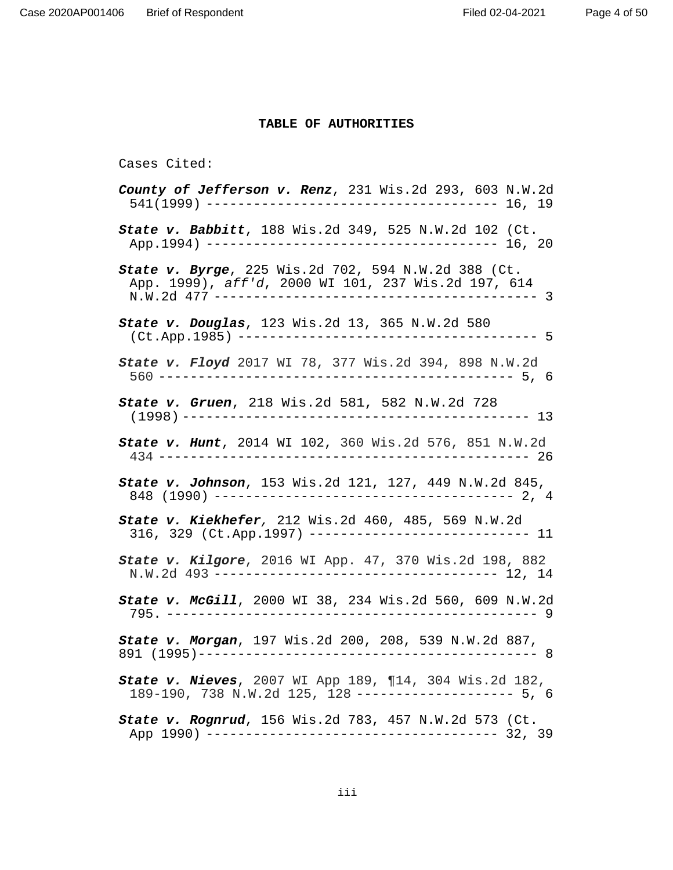# **TABLE OF AUTHORITIES**

# Cases Cited:

| County of Jefferson v. Renz, 231 Wis.2d 293, 603 N.W.2d                                                          |
|------------------------------------------------------------------------------------------------------------------|
| State v. Babbitt, 188 Wis.2d 349, 525 N.W.2d 102 (Ct.                                                            |
| State v. Byrge, 225 Wis.2d 702, 594 N.W.2d 388 (Ct.<br>App. 1999), aff'd, 2000 WI 101, 237 Wis.2d 197, 614       |
| <b>State v. Douglas</b> , 123 Wis.2d 13, 365 N.W.2d 580                                                          |
| State v. Floyd 2017 WI 78, 377 Wis.2d 394, 898 N.W.2d                                                            |
| State v. Gruen, 218 Wis.2d 581, 582 N.W.2d 728                                                                   |
| State v. Hunt, 2014 WI 102, 360 Wis.2d 576, 851 N.W.2d                                                           |
|                                                                                                                  |
| State v. Kiekhefer, 212 Wis.2d 460, 485, 569 N.W.2d<br>316, 329 (Ct.App.1997) --------------------------- 11     |
| State v. Kilgore, 2016 WI App. 47, 370 Wis.2d 198, 882<br>N.W.2d 493 ---------------------------------- 12, 14   |
| State v. McGill, 2000 WI 38, 234 Wis.2d 560, 609 N.W.2d                                                          |
| State v. Morgan, 197 Wis.2d 200, 208, 539 N.W.2d 887,                                                            |
| State v. Nieves, 2007 WI App 189, ¶14, 304 Wis.2d 182,<br>189-190, 738 N.W.2d 125, 128 -------------------- 5, 6 |
| State v. Rognrud, 156 Wis.2d 783, 457 N.W.2d 573 (Ct.                                                            |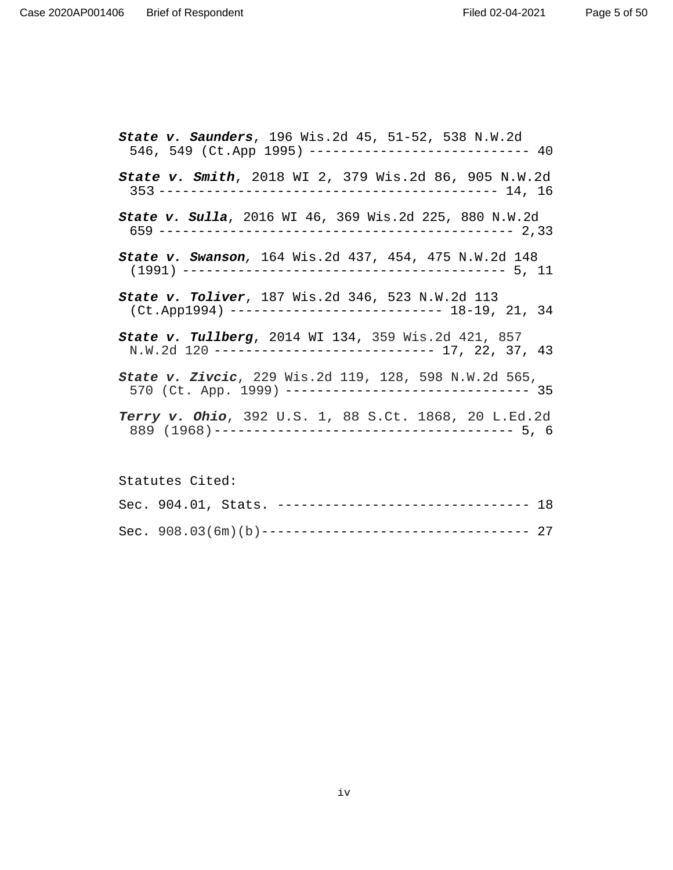Page 5 of 50

| <b>State v. Saunders</b> , 196 Wis.2d 45, 51-52, 538 N.W.2d<br>546, 549 (Ct.App 1995) --------------------------- 40 |
|----------------------------------------------------------------------------------------------------------------------|
| <b>State v. Smith</b> , 2018 WI 2, 379 Wis.2d 86, 905 N.W.2d                                                         |
| <b>State v. Sulla</b> , 2016 WI 46, 369 Wis.2d 225, 880 N.W.2d                                                       |
| <b>State v. Swanson</b> , 164 Wis.2d 437, 454, 475 N.W.2d 148                                                        |
| State v. Toliver, 187 Wis.2d 346, 523 N.W.2d 113<br>$(Ct.\text{App1994})$ -------------------------- 18-19, 21, 34   |
| State v. Tullberg, 2014 WI 134, 359 Wis.2d 421, 857<br>N.W.2d 120 --------------------------- 17, 22, 37, 43         |
| State v. Zivcic, 229 Wis.2d 119, 128, 598 N.W.2d 565,<br>570 (Ct. App. 1999) ------------------------------- 35      |
| Terry v. Ohio, 392 U.S. 1, 88 S.Ct. 1868, 20 L.Ed.2d                                                                 |

Statutes Cited: Sec. 904.01, Stats. --------------------------------- 18 Sec. 908.03(6m)(b)---------------------------------- 27

iv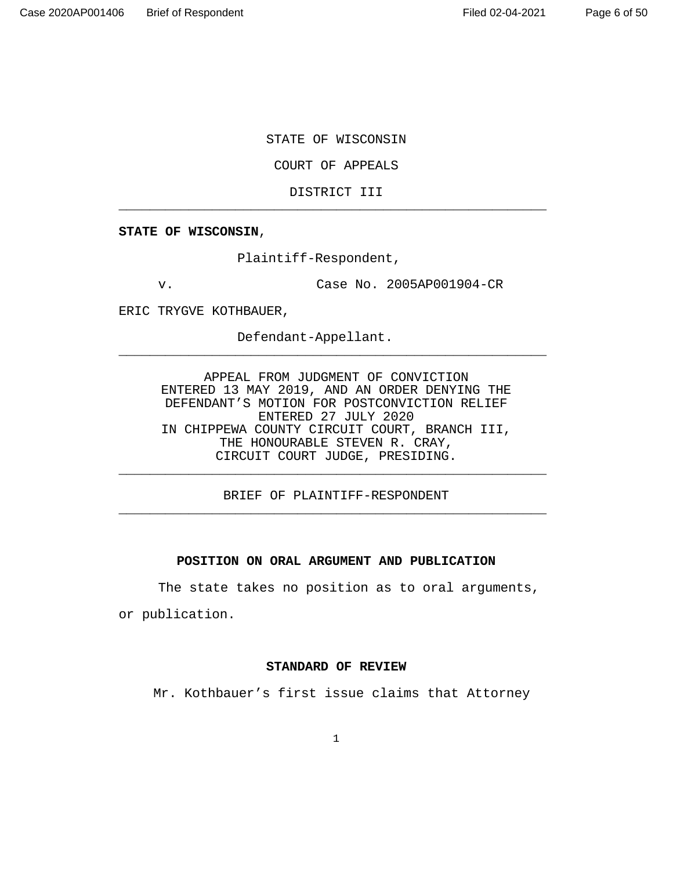STATE OF WISCONSIN

COURT OF APPEALS

DISTRICT III \_\_\_\_\_\_\_\_\_\_\_\_\_\_\_\_\_\_\_\_\_\_\_\_\_\_\_\_\_\_\_\_\_\_\_\_\_\_\_\_\_\_\_\_\_\_\_\_\_\_\_\_\_\_\_

**STATE OF WISCONSIN**,

Plaintiff-Respondent,

v. Case No. 2005AP001904-CR

ERIC TRYGVE KOTHBAUER,

Defendant-Appellant.

APPEAL FROM JUDGMENT OF CONVICTION ENTERED 13 MAY 2019, AND AN ORDER DENYING THE DEFENDANT'S MOTION FOR POSTCONVICTION RELIEF ENTERED 27 JULY 2020 IN CHIPPEWA COUNTY CIRCUIT COURT, BRANCH III, THE HONOURABLE STEVEN R. CRAY, CIRCUIT COURT JUDGE, PRESIDING.

\_\_\_\_\_\_\_\_\_\_\_\_\_\_\_\_\_\_\_\_\_\_\_\_\_\_\_\_\_\_\_\_\_\_\_\_\_\_\_\_\_\_\_\_\_\_\_\_\_\_\_\_\_\_\_

BRIEF OF PLAINTIFF-RESPONDENT \_\_\_\_\_\_\_\_\_\_\_\_\_\_\_\_\_\_\_\_\_\_\_\_\_\_\_\_\_\_\_\_\_\_\_\_\_\_\_\_\_\_\_\_\_\_\_\_\_\_\_\_\_\_\_

\_\_\_\_\_\_\_\_\_\_\_\_\_\_\_\_\_\_\_\_\_\_\_\_\_\_\_\_\_\_\_\_\_\_\_\_\_\_\_\_\_\_\_\_\_\_\_\_\_\_\_\_\_\_\_

# **POSITION ON ORAL ARGUMENT AND PUBLICATION**

 The state takes no position as to oral arguments, or publication.

#### **STANDARD OF REVIEW**

Mr. Kothbauer's first issue claims that Attorney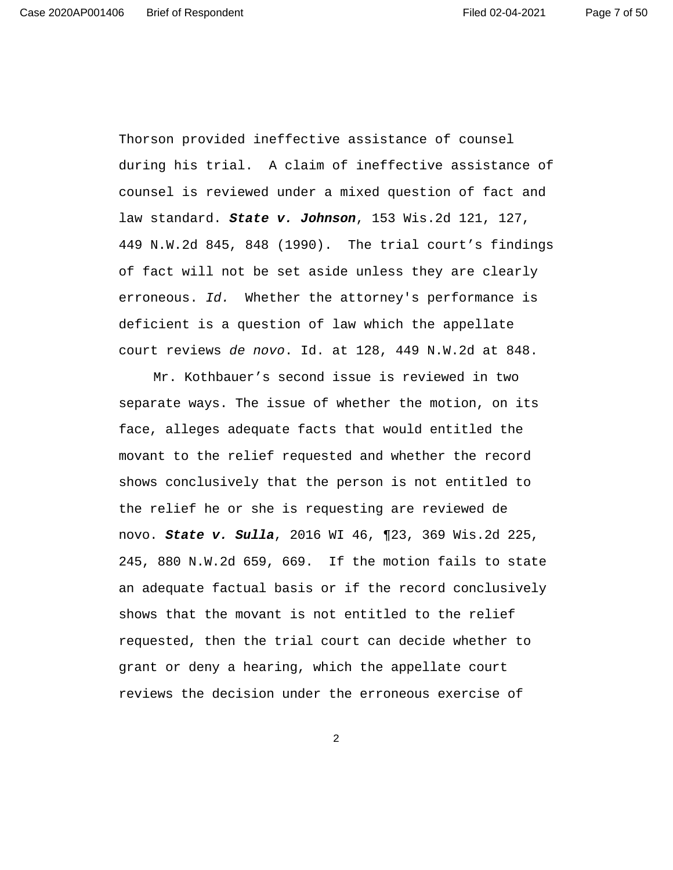Page 7 of 50

Thorson provided ineffective assistance of counsel during his trial. A claim of ineffective assistance of counsel is reviewed under a mixed question of fact and law standard. **State v. Johnson**, 153 Wis.2d 121, 127, 449 N.W.2d 845, 848 (1990). The trial court's findings of fact will not be set aside unless they are clearly erroneous. Id. Whether the attorney's performance is deficient is a question of law which the appellate court reviews de novo. Id. at 128, 449 N.W.2d at 848.

 Mr. Kothbauer's second issue is reviewed in two separate ways. The issue of whether the motion, on its face, alleges adequate facts that would entitled the movant to the relief requested and whether the record shows conclusively that the person is not entitled to the relief he or she is requesting are reviewed de novo. **State v. Sulla**, 2016 WI 46, ¶23, 369 Wis.2d 225, 245, 880 N.W.2d 659, 669. If the motion fails to state an adequate factual basis or if the record conclusively shows that the movant is not entitled to the relief requested, then the trial court can decide whether to grant or deny a hearing, which the appellate court reviews the decision under the erroneous exercise of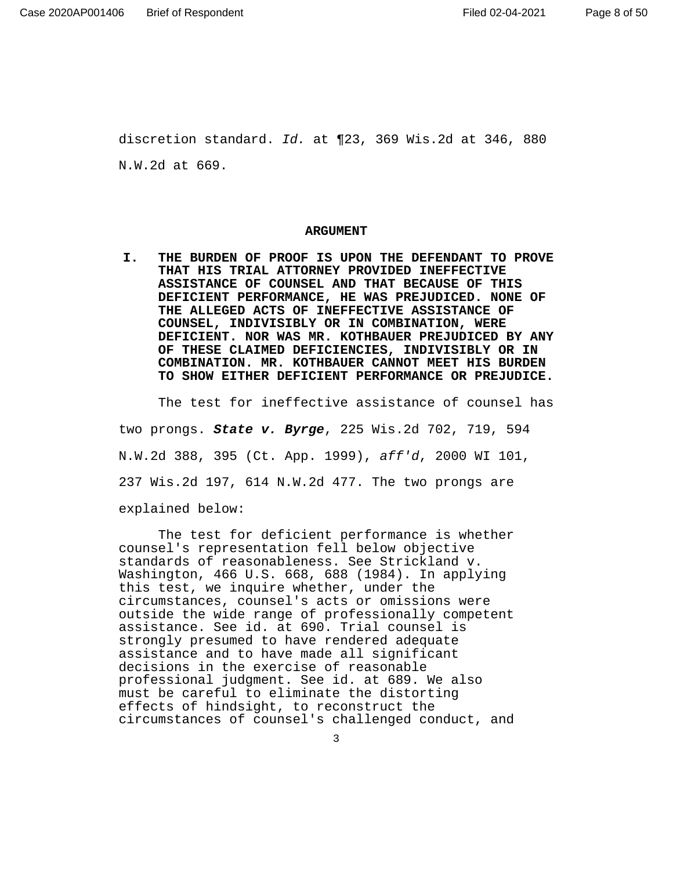discretion standard. Id. at ¶23, 369 Wis.2d at 346, 880 N.W.2d at 669.

#### **ARGUMENT**

**I. THE BURDEN OF PROOF IS UPON THE DEFENDANT TO PROVE THAT HIS TRIAL ATTORNEY PROVIDED INEFFECTIVE ASSISTANCE OF COUNSEL AND THAT BECAUSE OF THIS DEFICIENT PERFORMANCE, HE WAS PREJUDICED. NONE OF THE ALLEGED ACTS OF INEFFECTIVE ASSISTANCE OF COUNSEL, INDIVISIBLY OR IN COMBINATION, WERE DEFICIENT. NOR WAS MR. KOTHBAUER PREJUDICED BY ANY OF THESE CLAIMED DEFICIENCIES, INDIVISIBLY OR IN COMBINATION. MR. KOTHBAUER CANNOT MEET HIS BURDEN TO SHOW EITHER DEFICIENT PERFORMANCE OR PREJUDICE.** 

The test for ineffective assistance of counsel has two prongs. **State v. Byrge**, 225 Wis.2d 702, 719, 594 N.W.2d 388, 395 (Ct. App. 1999), aff'd, 2000 WI 101, 237 Wis.2d 197, 614 N.W.2d 477. The two prongs are explained below:

The test for deficient performance is whether counsel's representation fell below objective standards of reasonableness. See Strickland v. Washington, 466 U.S. 668, 688 (1984). In applying this test, we inquire whether, under the circumstances, counsel's acts or omissions were outside the wide range of professionally competent assistance. See id. at 690. Trial counsel is strongly presumed to have rendered adequate assistance and to have made all significant decisions in the exercise of reasonable professional judgment. See id. at 689. We also must be careful to eliminate the distorting effects of hindsight, to reconstruct the circumstances of counsel's challenged conduct, and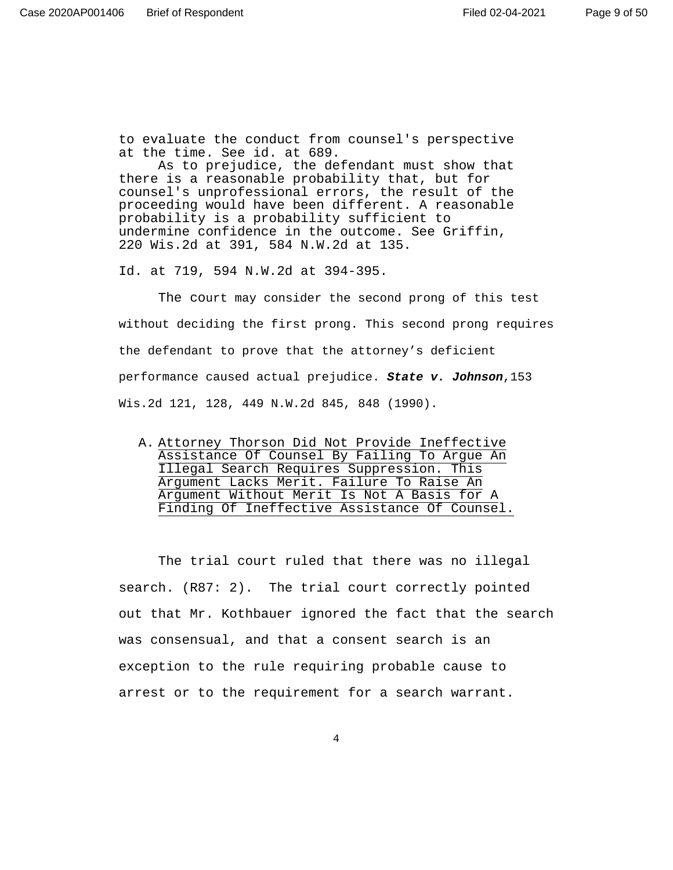to evaluate the conduct from counsel's perspective at the time. See id. at 689.

As to prejudice, the defendant must show that there is a reasonable probability that, but for counsel's unprofessional errors, the result of the proceeding would have been different. A reasonable probability is a probability sufficient to undermine confidence in the outcome. See Griffin, 220 Wis.2d at 391, 584 N.W.2d at 135.

Id. at 719, 594 N.W.2d at 394-395.

 The court may consider the second prong of this test without deciding the first prong. This second prong requires the defendant to prove that the attorney's deficient performance caused actual prejudice. **State v. Johnson**,153 Wis.2d 121, 128, 449 N.W.2d 845, 848 (1990).

The trial court ruled that there was no illegal search. (R87: 2). The trial court correctly pointed out that Mr. Kothbauer ignored the fact that the search was consensual, and that a consent search is an exception to the rule requiring probable cause to arrest or to the requirement for a search warrant.

A. Attorney Thorson Did Not Provide Ineffective Assistance Of Counsel By Failing To Argue An Illegal Search Requires Suppression. This Argument Lacks Merit. Failure To Raise An Argument Without Merit Is Not A Basis for A Finding Of Ineffective Assistance Of Counsel.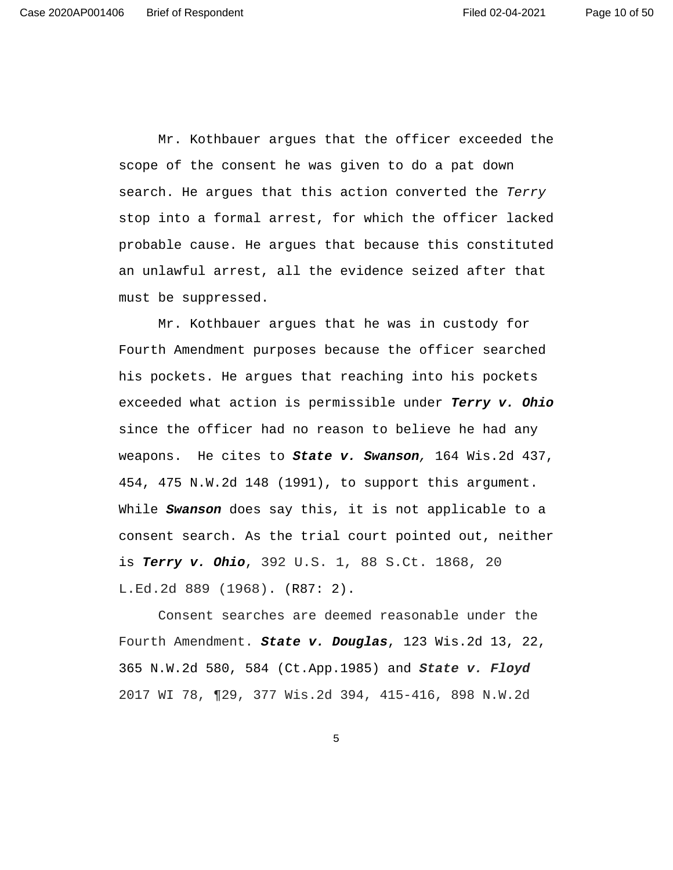Page 10 of 50

Mr. Kothbauer argues that the officer exceeded the scope of the consent he was given to do a pat down search. He argues that this action converted the Terry stop into a formal arrest, for which the officer lacked probable cause. He argues that because this constituted an unlawful arrest, all the evidence seized after that must be suppressed.

Mr. Kothbauer argues that he was in custody for Fourth Amendment purposes because the officer searched his pockets. He argues that reaching into his pockets exceeded what action is permissible under **Terry v. Ohio** since the officer had no reason to believe he had any weapons. He cites to **State v. Swanson**, 164 Wis.2d 437, 454, 475 N.W.2d 148 (1991), to support this argument. While **Swanson** does say this, it is not applicable to a consent search. As the trial court pointed out, neither is **Terry v. Ohio**, 392 U.S. 1, 88 S.Ct. 1868, 20 L.Ed.2d 889 (1968). (R87: 2).

Consent searches are deemed reasonable under the Fourth Amendment. **State v. Douglas**, 123 Wis.2d 13, 22, 365 N.W.2d 580, 584 (Ct.App.1985) and **State v. Floyd**  2017 WI 78, ¶29, 377 Wis.2d 394, 415-416, 898 N.W.2d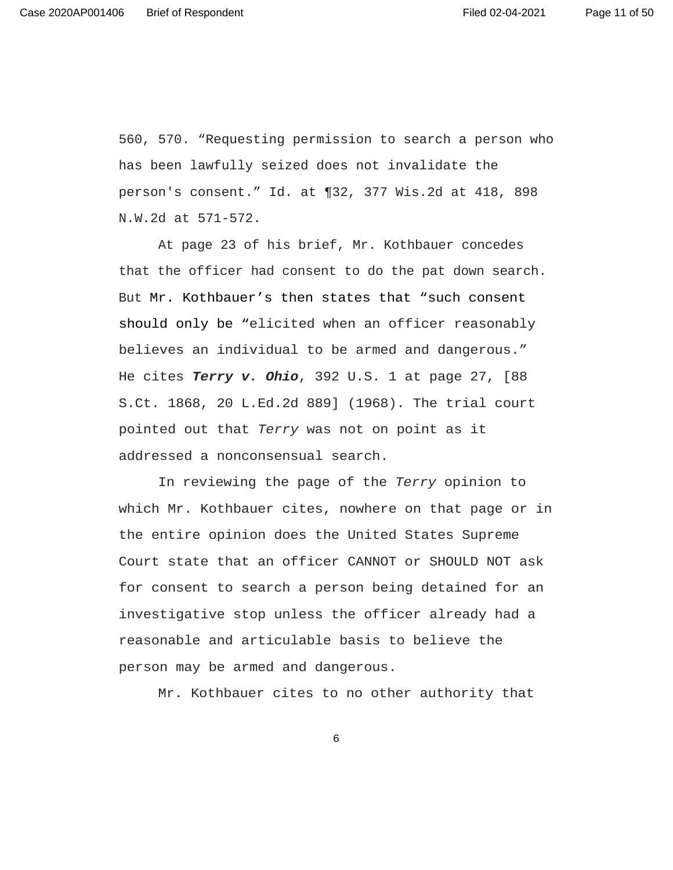560, 570. "Requesting permission to search a person who has been lawfully seized does not invalidate the person's consent." Id. at ¶32, 377 Wis.2d at 418, 898 N.W.2d at 571-572.

At page 23 of his brief, Mr. Kothbauer concedes that the officer had consent to do the pat down search. But Mr. Kothbauer's then states that "such consent should only be "elicited when an officer reasonably believes an individual to be armed and dangerous." He cites **Terry v. Ohio**, 392 U.S. 1 at page 27, [88 S.Ct. 1868, 20 L.Ed.2d 889] (1968). The trial court pointed out that Terry was not on point as it addressed a nonconsensual search.

In reviewing the page of the Terry opinion to which Mr. Kothbauer cites, nowhere on that page or in the entire opinion does the United States Supreme Court state that an officer CANNOT or SHOULD NOT ask for consent to search a person being detained for an investigative stop unless the officer already had a reasonable and articulable basis to believe the person may be armed and dangerous.

Mr. Kothbauer cites to no other authority that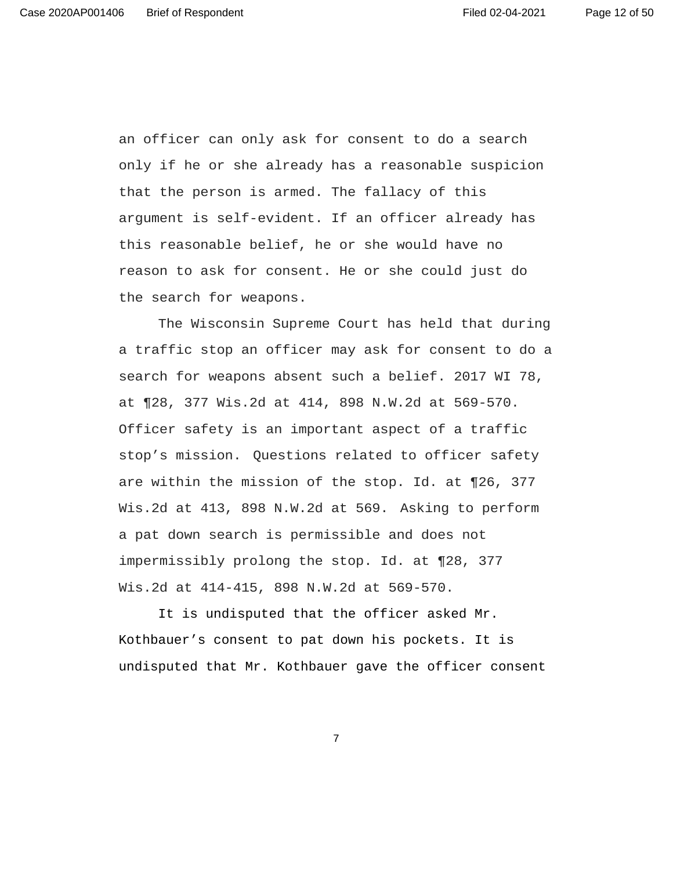an officer can only ask for consent to do a search only if he or she already has a reasonable suspicion that the person is armed. The fallacy of this argument is self-evident. If an officer already has this reasonable belief, he or she would have no reason to ask for consent. He or she could just do the search for weapons.

 The Wisconsin Supreme Court has held that during a traffic stop an officer may ask for consent to do a search for weapons absent such a belief. 2017 WI 78, at ¶28, 377 Wis.2d at 414, 898 N.W.2d at 569-570. Officer safety is an important aspect of a traffic stop's mission. Questions related to officer safety are within the mission of the stop. Id. at ¶26, 377 Wis.2d at 413, 898 N.W.2d at 569. Asking to perform a pat down search is permissible and does not impermissibly prolong the stop. Id. at ¶28, 377 Wis.2d at 414-415, 898 N.W.2d at 569-570.

It is undisputed that the officer asked Mr. Kothbauer's consent to pat down his pockets. It is undisputed that Mr. Kothbauer gave the officer consent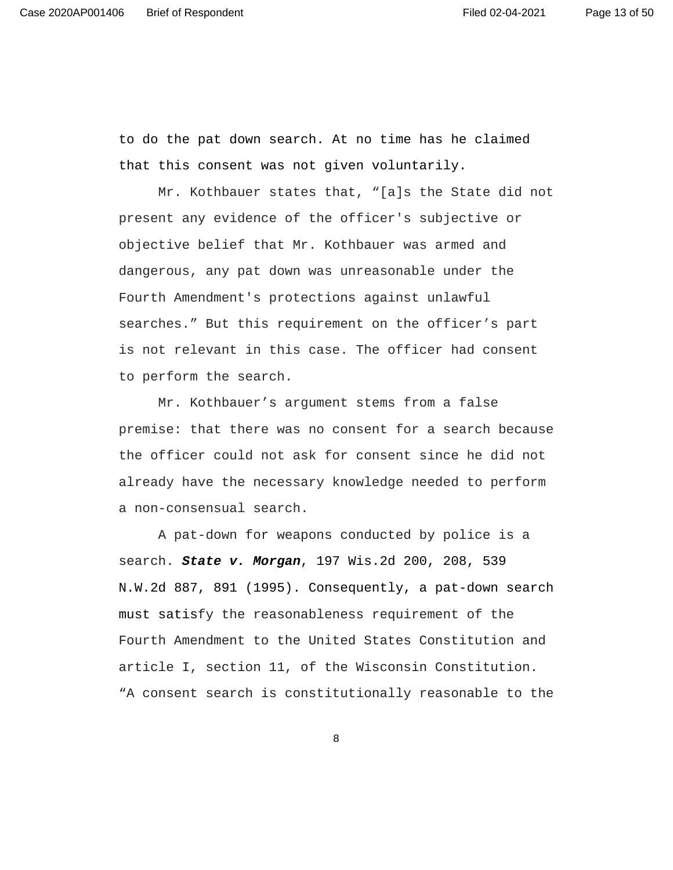Page 13 of 50

to do the pat down search. At no time has he claimed that this consent was not given voluntarily.

Mr. Kothbauer states that, "[a]s the State did not present any evidence of the officer's subjective or objective belief that Mr. Kothbauer was armed and dangerous, any pat down was unreasonable under the Fourth Amendment's protections against unlawful searches." But this requirement on the officer's part is not relevant in this case. The officer had consent to perform the search.

Mr. Kothbauer's argument stems from a false premise: that there was no consent for a search because the officer could not ask for consent since he did not already have the necessary knowledge needed to perform a non-consensual search.

A pat-down for weapons conducted by police is a search. **State v. Morgan**, 197 Wis.2d 200, 208, 539 N.W.2d 887, 891 (1995). Consequently, a pat-down search must satisfy the reasonableness requirement of the Fourth Amendment to the United States Constitution and article I, section 11, of the Wisconsin Constitution. "A consent search is constitutionally reasonable to the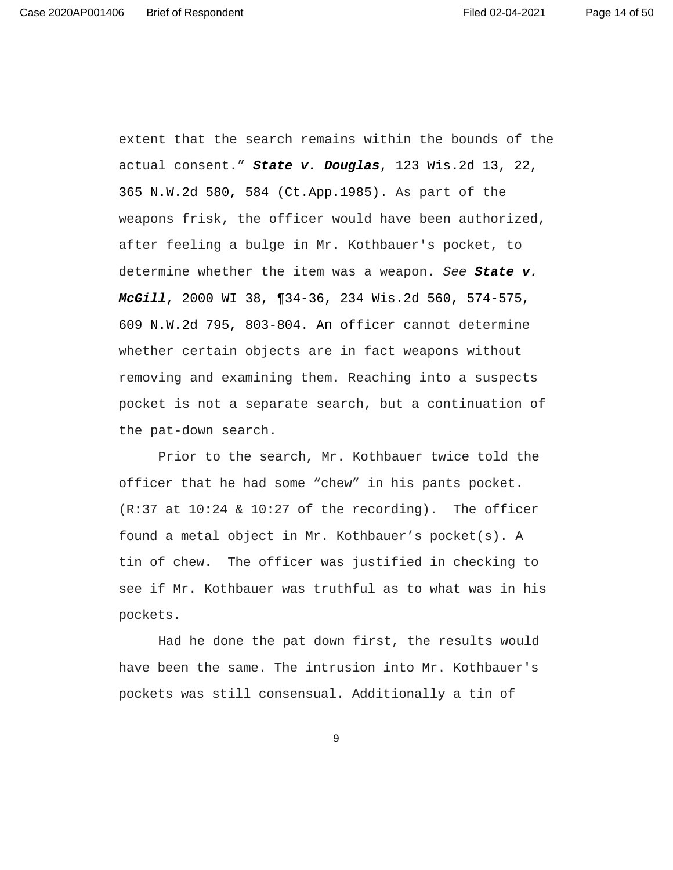Page 14 of 50

extent that the search remains within the bounds of the actual consent." **State v. Douglas**, 123 Wis.2d 13, 22, 365 N.W.2d 580, 584 (Ct.App.1985). As part of the weapons frisk, the officer would have been authorized, after feeling a bulge in Mr. Kothbauer's pocket, to determine whether the item was a weapon. See **State v. McGill**, 2000 WI 38, ¶34-36, 234 Wis.2d 560, 574-575, 609 N.W.2d 795, 803-804. An officer cannot determine whether certain objects are in fact weapons without removing and examining them. Reaching into a suspects pocket is not a separate search, but a continuation of the pat-down search.

 Prior to the search, Mr. Kothbauer twice told the officer that he had some "chew" in his pants pocket.  $(R:37$  at  $10:24 \& 10:27$  of the recording). The officer found a metal object in Mr. Kothbauer's pocket(s). A tin of chew. The officer was justified in checking to see if Mr. Kothbauer was truthful as to what was in his pockets.

 Had he done the pat down first, the results would have been the same. The intrusion into Mr. Kothbauer's pockets was still consensual. Additionally a tin of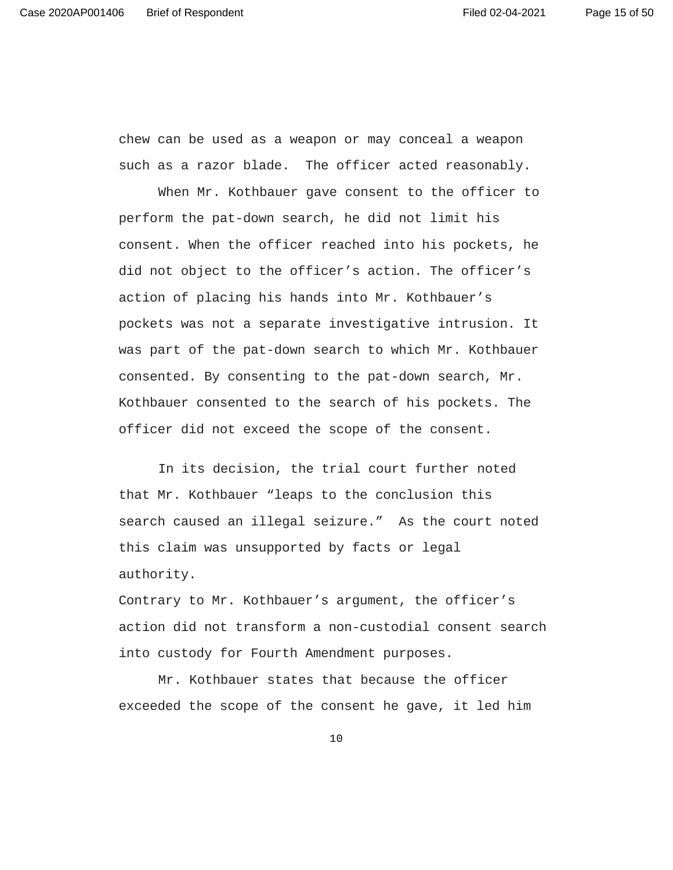chew can be used as a weapon or may conceal a weapon such as a razor blade. The officer acted reasonably.

 When Mr. Kothbauer gave consent to the officer to perform the pat-down search, he did not limit his consent. When the officer reached into his pockets, he did not object to the officer's action. The officer's action of placing his hands into Mr. Kothbauer's pockets was not a separate investigative intrusion. It was part of the pat-down search to which Mr. Kothbauer consented. By consenting to the pat-down search, Mr. Kothbauer consented to the search of his pockets. The officer did not exceed the scope of the consent.

 In its decision, the trial court further noted that Mr. Kothbauer "leaps to the conclusion this search caused an illegal seizure." As the court noted this claim was unsupported by facts or legal authority.

Contrary to Mr. Kothbauer's argument, the officer's action did not transform a non-custodial consent search into custody for Fourth Amendment purposes.

 Mr. Kothbauer states that because the officer exceeded the scope of the consent he gave, it led him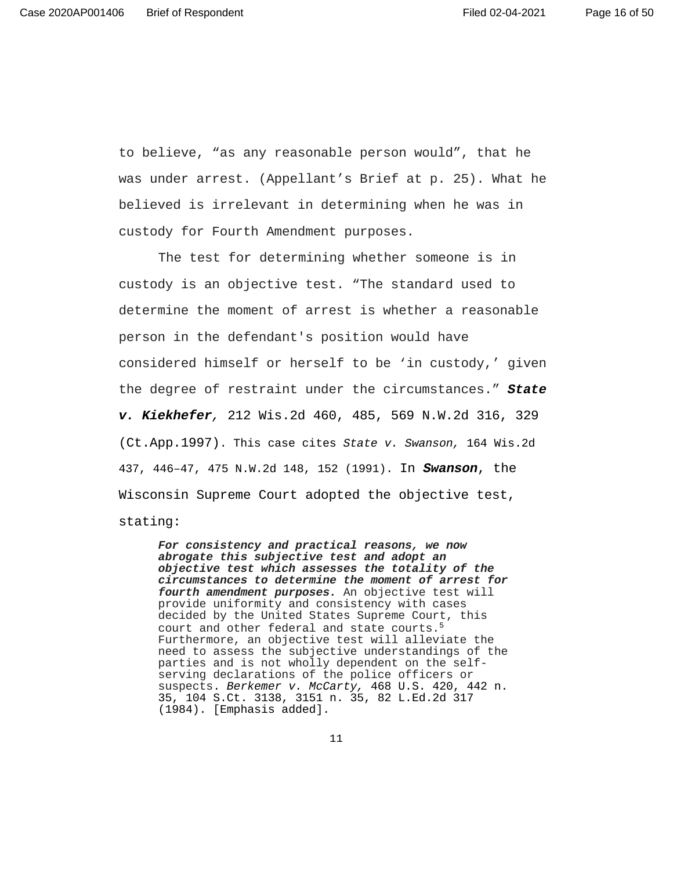to believe, "as any reasonable person would", that he was under arrest. (Appellant's Brief at p. 25). What he believed is irrelevant in determining when he was in custody for Fourth Amendment purposes.

 The test for determining whether someone is in custody is an objective test. "The standard used to determine the moment of arrest is whether a reasonable person in the defendant's position would have considered himself or herself to be 'in custody,' given the degree of restraint under the circumstances." **State v. Kiekhefer**, 212 Wis.2d 460, 485, 569 N.W.2d 316, 329 (Ct.App.1997). This case cites State v. Swanson, 164 Wis.2d 437, 446–47, 475 N.W.2d 148, 152 (1991). In **Swanson**, the Wisconsin Supreme Court adopted the objective test, stating:

**For consistency and practical reasons, we now abrogate this subjective test and adopt an objective test which assesses the totality of the circumstances to determine the moment of arrest for fourth amendment purposes.** An objective test will provide uniformity and consistency with cases decided by the United States Supreme Court, this court and other federal and state courts.<sup>5</sup> Furthermore, an objective test will alleviate the need to assess the subjective understandings of the parties and is not wholly dependent on the selfserving declarations of the police officers or suspects. Berkemer v. McCarty, 468 U.S. 420, 442 n. 35, 104 S.Ct. 3138, 3151 n. 35, 82 L.Ed.2d 317 (1984). [Emphasis added].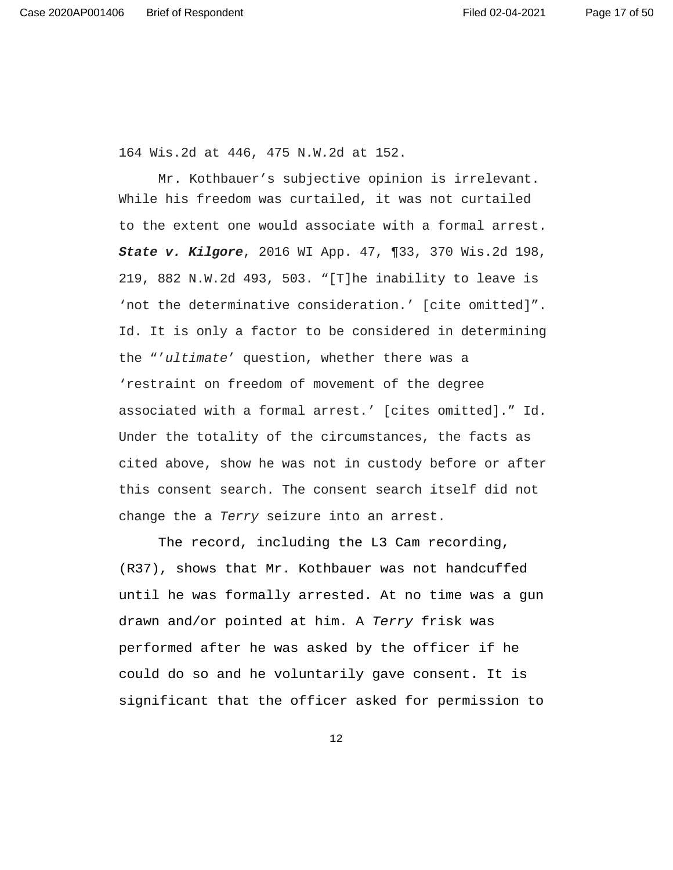164 Wis.2d at 446, 475 N.W.2d at 152.

 Mr. Kothbauer's subjective opinion is irrelevant. While his freedom was curtailed, it was not curtailed to the extent one would associate with a formal arrest. **State v. Kilgore**, 2016 WI App. 47, ¶33, 370 Wis.2d 198, 219, 882 N.W.2d 493, 503. "[T]he inability to leave is 'not the determinative consideration.' [cite omitted]". Id. It is only a factor to be considered in determining the "'ultimate' question, whether there was a 'restraint on freedom of movement of the degree associated with a formal arrest.' [cites omitted]." Id. Under the totality of the circumstances, the facts as cited above, show he was not in custody before or after this consent search. The consent search itself did not change the a Terry seizure into an arrest.

 The record, including the L3 Cam recording, (R37), shows that Mr. Kothbauer was not handcuffed until he was formally arrested. At no time was a gun drawn and/or pointed at him. A Terry frisk was performed after he was asked by the officer if he could do so and he voluntarily gave consent. It is significant that the officer asked for permission to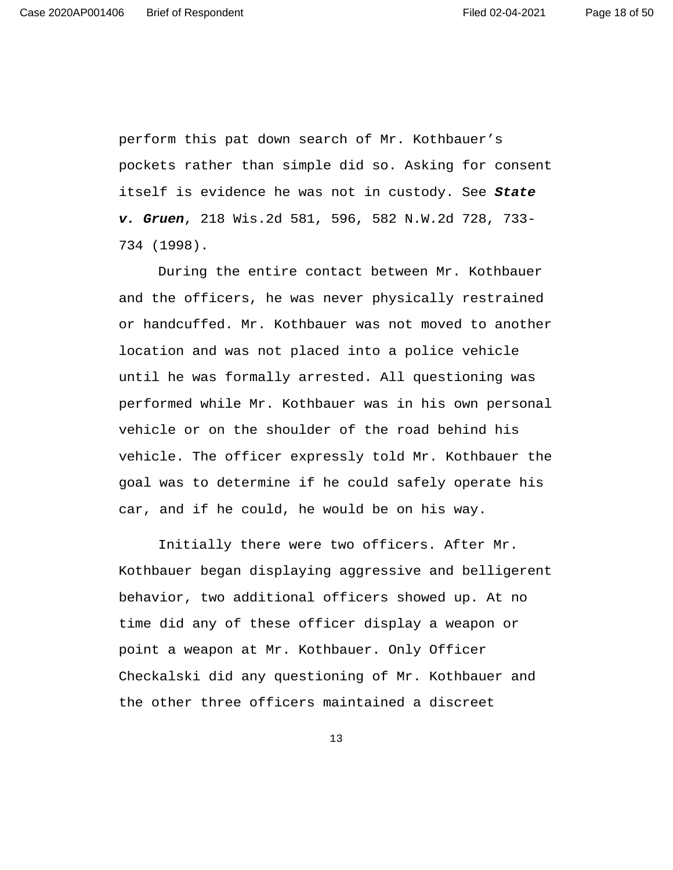perform this pat down search of Mr. Kothbauer's pockets rather than simple did so. Asking for consent itself is evidence he was not in custody. See **State v. Gruen**, 218 Wis.2d 581, 596, 582 N.W.2d 728, 733- 734 (1998).

 During the entire contact between Mr. Kothbauer and the officers, he was never physically restrained or handcuffed. Mr. Kothbauer was not moved to another location and was not placed into a police vehicle until he was formally arrested. All questioning was performed while Mr. Kothbauer was in his own personal vehicle or on the shoulder of the road behind his vehicle. The officer expressly told Mr. Kothbauer the goal was to determine if he could safely operate his car, and if he could, he would be on his way.

 Initially there were two officers. After Mr. Kothbauer began displaying aggressive and belligerent behavior, two additional officers showed up. At no time did any of these officer display a weapon or point a weapon at Mr. Kothbauer. Only Officer Checkalski did any questioning of Mr. Kothbauer and the other three officers maintained a discreet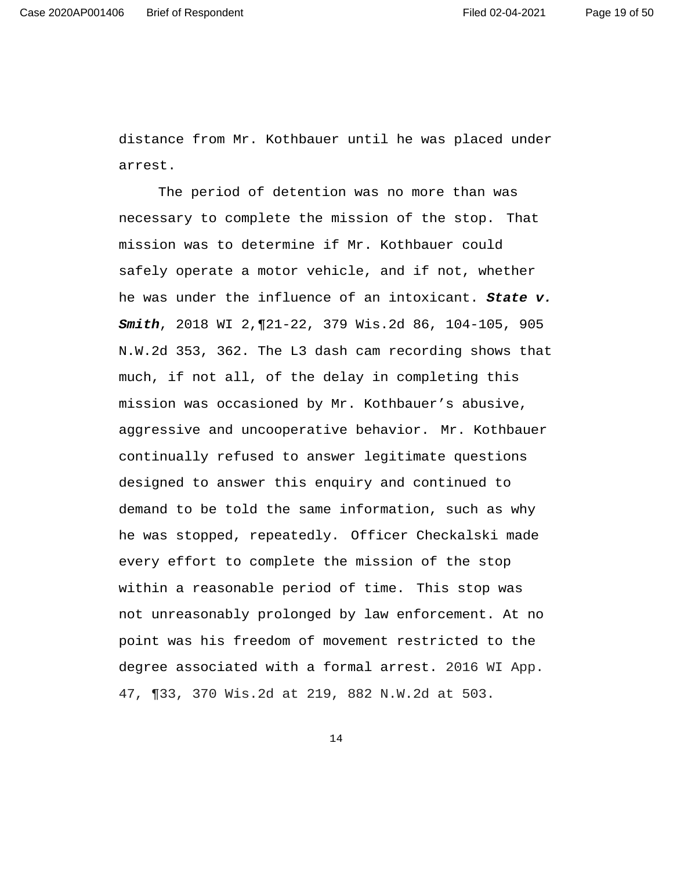distance from Mr. Kothbauer until he was placed under arrest.

 The period of detention was no more than was necessary to complete the mission of the stop. That mission was to determine if Mr. Kothbauer could safely operate a motor vehicle, and if not, whether he was under the influence of an intoxicant. **State v. Smith**, 2018 WI 2,¶21-22, 379 Wis.2d 86, 104-105, 905 N.W.2d 353, 362. The L3 dash cam recording shows that much, if not all, of the delay in completing this mission was occasioned by Mr. Kothbauer's abusive, aggressive and uncooperative behavior. Mr. Kothbauer continually refused to answer legitimate questions designed to answer this enquiry and continued to demand to be told the same information, such as why he was stopped, repeatedly. Officer Checkalski made every effort to complete the mission of the stop within a reasonable period of time. This stop was not unreasonably prolonged by law enforcement. At no point was his freedom of movement restricted to the degree associated with a formal arrest. 2016 WI App. 47, ¶33, 370 Wis.2d at 219, 882 N.W.2d at 503.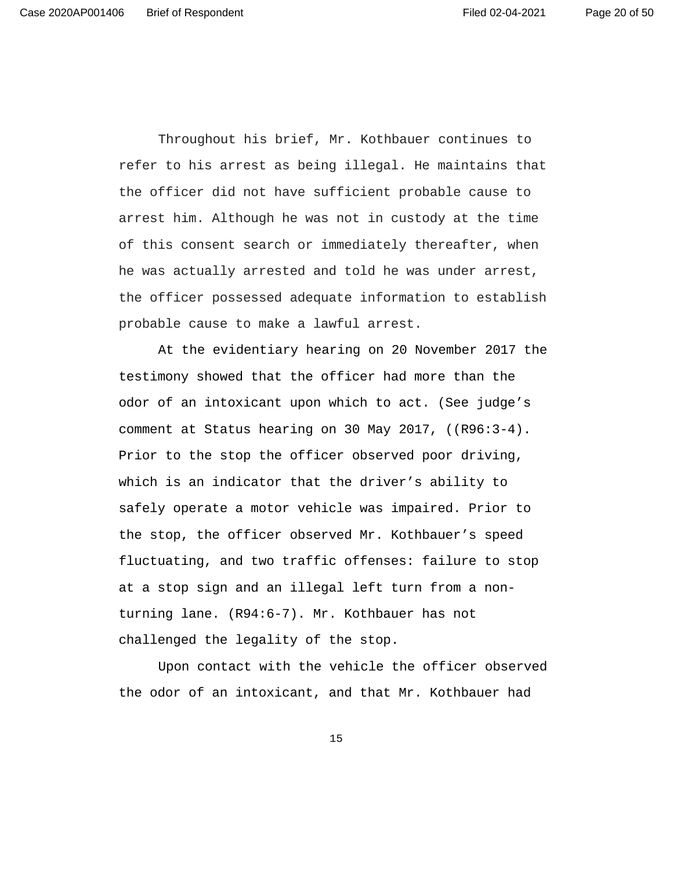Throughout his brief, Mr. Kothbauer continues to refer to his arrest as being illegal. He maintains that the officer did not have sufficient probable cause to arrest him. Although he was not in custody at the time of this consent search or immediately thereafter, when he was actually arrested and told he was under arrest, the officer possessed adequate information to establish probable cause to make a lawful arrest.

 At the evidentiary hearing on 20 November 2017 the testimony showed that the officer had more than the odor of an intoxicant upon which to act. (See judge's comment at Status hearing on 30 May 2017, ((R96:3-4). Prior to the stop the officer observed poor driving, which is an indicator that the driver's ability to safely operate a motor vehicle was impaired. Prior to the stop, the officer observed Mr. Kothbauer's speed fluctuating, and two traffic offenses: failure to stop at a stop sign and an illegal left turn from a nonturning lane. (R94:6-7). Mr. Kothbauer has not challenged the legality of the stop.

 Upon contact with the vehicle the officer observed the odor of an intoxicant, and that Mr. Kothbauer had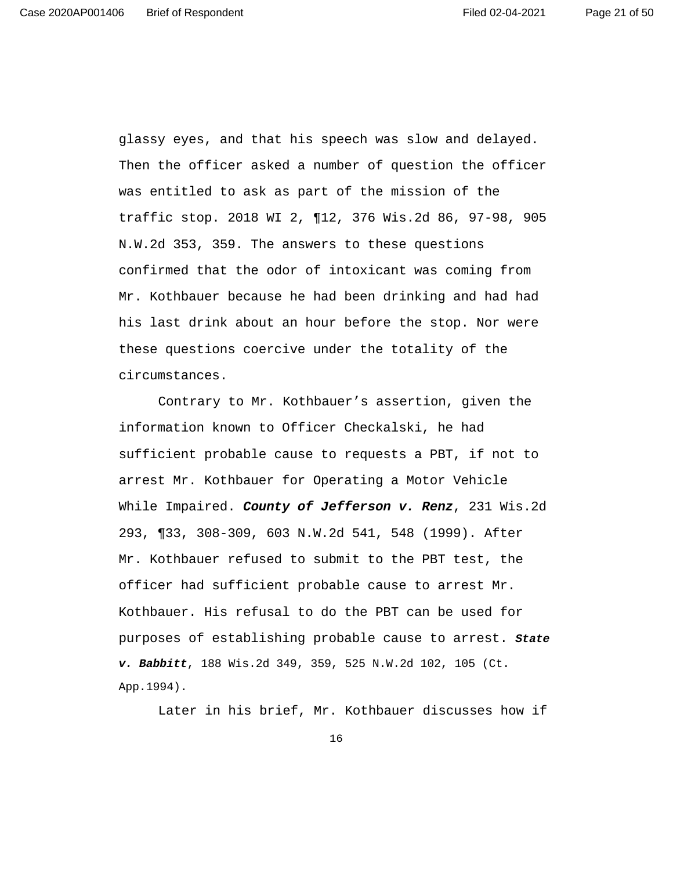Page 21 of 50

glassy eyes, and that his speech was slow and delayed. Then the officer asked a number of question the officer was entitled to ask as part of the mission of the traffic stop. 2018 WI 2, ¶12, 376 Wis.2d 86, 97-98, 905 N.W.2d 353, 359. The answers to these questions confirmed that the odor of intoxicant was coming from Mr. Kothbauer because he had been drinking and had had his last drink about an hour before the stop. Nor were these questions coercive under the totality of the circumstances.

 Contrary to Mr. Kothbauer's assertion, given the information known to Officer Checkalski, he had sufficient probable cause to requests a PBT, if not to arrest Mr. Kothbauer for Operating a Motor Vehicle While Impaired. **County of Jefferson v. Renz**, 231 Wis.2d 293, ¶33, 308-309, 603 N.W.2d 541, 548 (1999). After Mr. Kothbauer refused to submit to the PBT test, the officer had sufficient probable cause to arrest Mr. Kothbauer. His refusal to do the PBT can be used for purposes of establishing probable cause to arrest. **State v. Babbitt**, 188 Wis.2d 349, 359, 525 N.W.2d 102, 105 (Ct. App.1994).

Later in his brief, Mr. Kothbauer discusses how if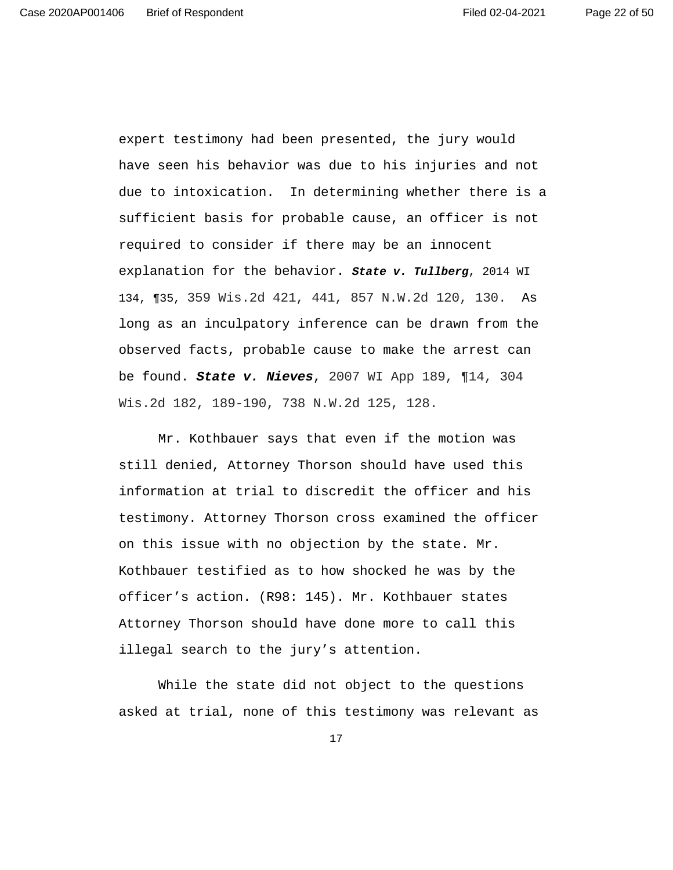expert testimony had been presented, the jury would have seen his behavior was due to his injuries and not due to intoxication. In determining whether there is a sufficient basis for probable cause, an officer is not required to consider if there may be an innocent explanation for the behavior. **State v. Tullberg**, 2014 WI 134, ¶35, 359 Wis.2d 421, 441, 857 N.W.2d 120, 130. As long as an inculpatory inference can be drawn from the observed facts, probable cause to make the arrest can be found. **State v. Nieves**, 2007 WI App 189, ¶14, 304 Wis.2d 182, 189-190, 738 N.W.2d 125, 128.

 Mr. Kothbauer says that even if the motion was still denied, Attorney Thorson should have used this information at trial to discredit the officer and his testimony. Attorney Thorson cross examined the officer on this issue with no objection by the state. Mr. Kothbauer testified as to how shocked he was by the officer's action. (R98: 145). Mr. Kothbauer states Attorney Thorson should have done more to call this illegal search to the jury's attention.

 While the state did not object to the questions asked at trial, none of this testimony was relevant as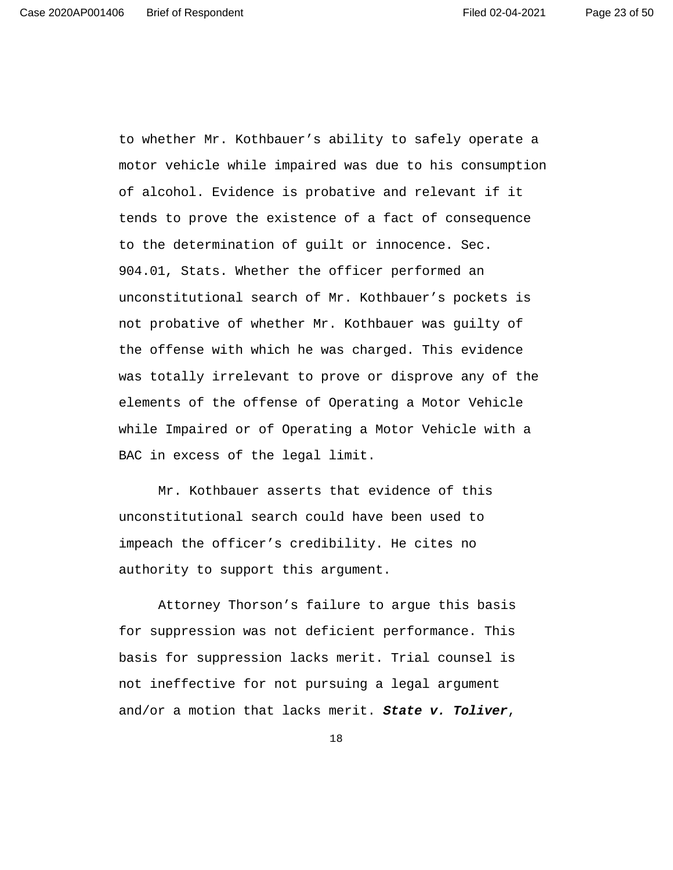to whether Mr. Kothbauer's ability to safely operate a motor vehicle while impaired was due to his consumption of alcohol. Evidence is probative and relevant if it tends to prove the existence of a fact of consequence to the determination of guilt or innocence. Sec. 904.01, Stats. Whether the officer performed an unconstitutional search of Mr. Kothbauer's pockets is not probative of whether Mr. Kothbauer was guilty of the offense with which he was charged. This evidence was totally irrelevant to prove or disprove any of the elements of the offense of Operating a Motor Vehicle while Impaired or of Operating a Motor Vehicle with a BAC in excess of the legal limit.

 Mr. Kothbauer asserts that evidence of this unconstitutional search could have been used to impeach the officer's credibility. He cites no authority to support this argument.

 Attorney Thorson's failure to argue this basis for suppression was not deficient performance. This basis for suppression lacks merit. Trial counsel is not ineffective for not pursuing a legal argument and/or a motion that lacks merit. **State v. Toliver**,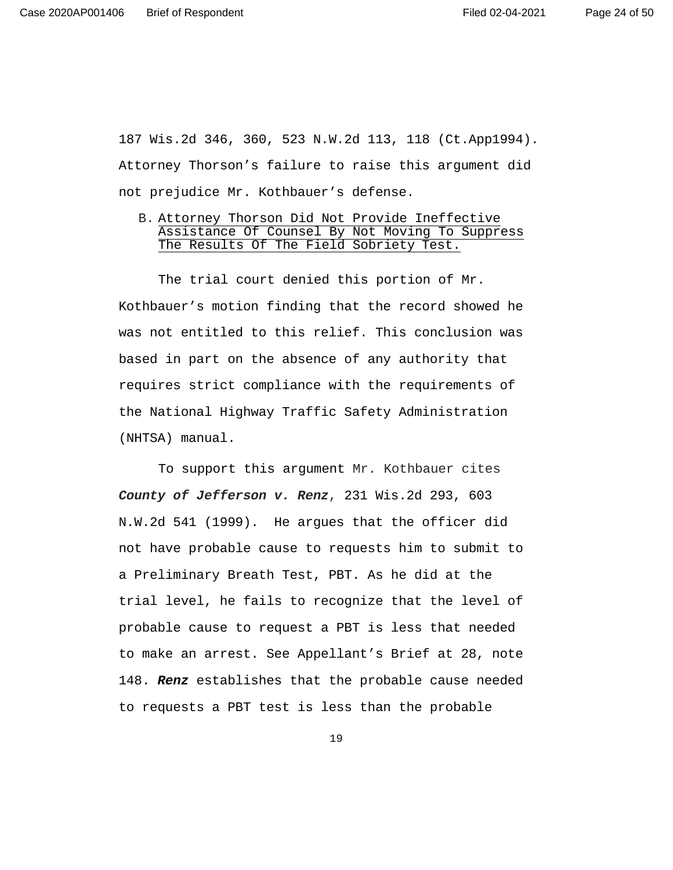187 Wis.2d 346, 360, 523 N.W.2d 113, 118 (Ct.App1994). Attorney Thorson's failure to raise this argument did not prejudice Mr. Kothbauer's defense.

B. Attorney Thorson Did Not Provide Ineffective Assistance Of Counsel By Not Moving To Suppress The Results Of The Field Sobriety Test.

 The trial court denied this portion of Mr. Kothbauer's motion finding that the record showed he was not entitled to this relief. This conclusion was based in part on the absence of any authority that requires strict compliance with the requirements of the National Highway Traffic Safety Administration (NHTSA) manual.

 To support this argument Mr. Kothbauer cites **County of Jefferson v. Renz**, 231 Wis.2d 293, 603 N.W.2d 541 (1999). He argues that the officer did not have probable cause to requests him to submit to a Preliminary Breath Test, PBT. As he did at the trial level, he fails to recognize that the level of probable cause to request a PBT is less that needed to make an arrest. See Appellant's Brief at 28, note 148. **Renz** establishes that the probable cause needed to requests a PBT test is less than the probable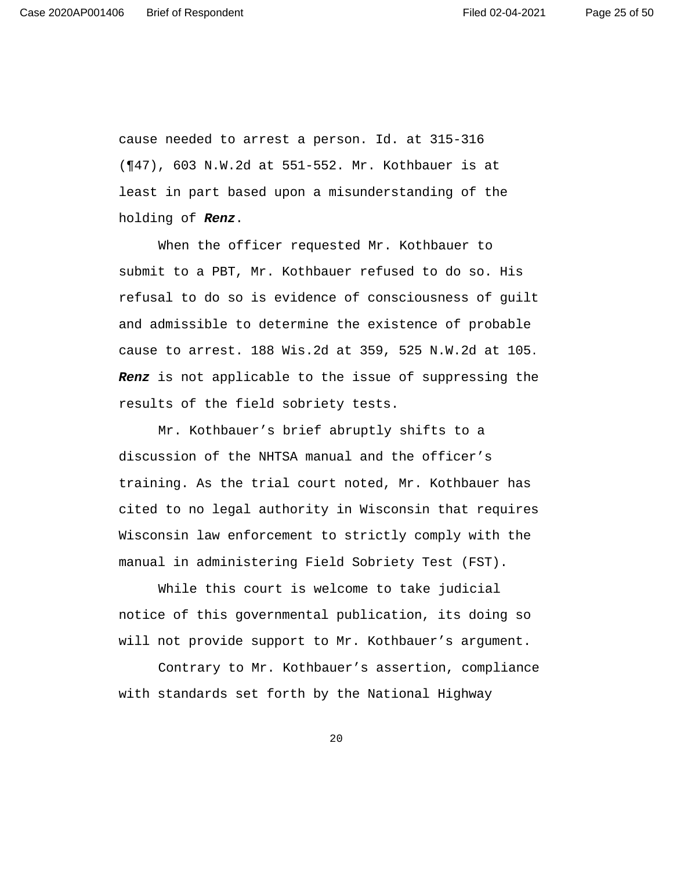cause needed to arrest a person. Id. at 315-316 (¶47), 603 N.W.2d at 551-552. Mr. Kothbauer is at least in part based upon a misunderstanding of the holding of **Renz**.

When the officer requested Mr. Kothbauer to submit to a PBT, Mr. Kothbauer refused to do so. His refusal to do so is evidence of consciousness of guilt and admissible to determine the existence of probable cause to arrest. 188 Wis.2d at 359, 525 N.W.2d at 105. **Renz** is not applicable to the issue of suppressing the results of the field sobriety tests.

Mr. Kothbauer's brief abruptly shifts to a discussion of the NHTSA manual and the officer's training. As the trial court noted, Mr. Kothbauer has cited to no legal authority in Wisconsin that requires Wisconsin law enforcement to strictly comply with the manual in administering Field Sobriety Test (FST).

While this court is welcome to take judicial notice of this governmental publication, its doing so will not provide support to Mr. Kothbauer's argument.

Contrary to Mr. Kothbauer's assertion, compliance with standards set forth by the National Highway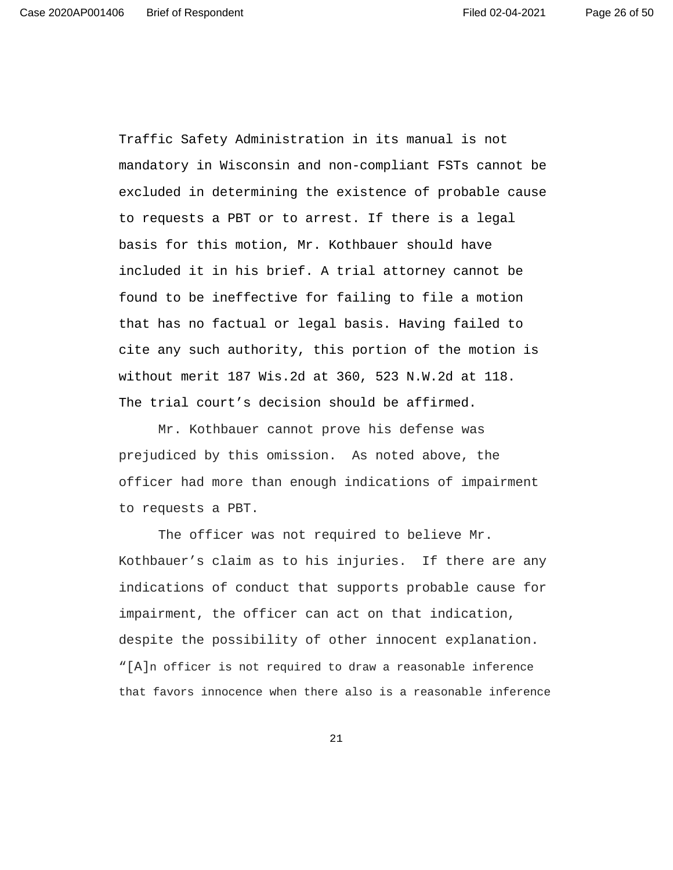Traffic Safety Administration in its manual is not mandatory in Wisconsin and non-compliant FSTs cannot be excluded in determining the existence of probable cause to requests a PBT or to arrest. If there is a legal basis for this motion, Mr. Kothbauer should have included it in his brief. A trial attorney cannot be found to be ineffective for failing to file a motion that has no factual or legal basis. Having failed to cite any such authority, this portion of the motion is without merit 187 Wis.2d at 360, 523 N.W.2d at 118. The trial court's decision should be affirmed.

Mr. Kothbauer cannot prove his defense was prejudiced by this omission. As noted above, the officer had more than enough indications of impairment to requests a PBT.

The officer was not required to believe Mr. Kothbauer's claim as to his injuries. If there are any indications of conduct that supports probable cause for impairment, the officer can act on that indication, despite the possibility of other innocent explanation. "[A]n officer is not required to draw a reasonable inference that favors innocence when there also is a reasonable inference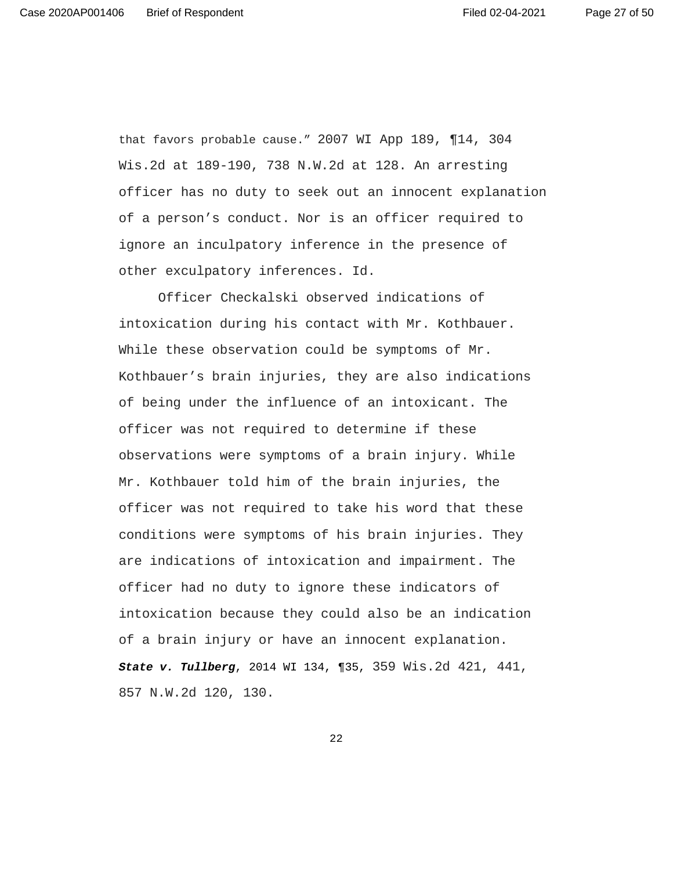that favors probable cause." 2007 WI App 189, ¶14, 304 Wis.2d at 189-190, 738 N.W.2d at 128. An arresting officer has no duty to seek out an innocent explanation of a person's conduct. Nor is an officer required to ignore an inculpatory inference in the presence of other exculpatory inferences. Id.

 Officer Checkalski observed indications of intoxication during his contact with Mr. Kothbauer. While these observation could be symptoms of Mr. Kothbauer's brain injuries, they are also indications of being under the influence of an intoxicant. The officer was not required to determine if these observations were symptoms of a brain injury. While Mr. Kothbauer told him of the brain injuries, the officer was not required to take his word that these conditions were symptoms of his brain injuries. They are indications of intoxication and impairment. The officer had no duty to ignore these indicators of intoxication because they could also be an indication of a brain injury or have an innocent explanation. **State v. Tullberg**, 2014 WI 134, ¶35, 359 Wis.2d 421, 441, 857 N.W.2d 120, 130.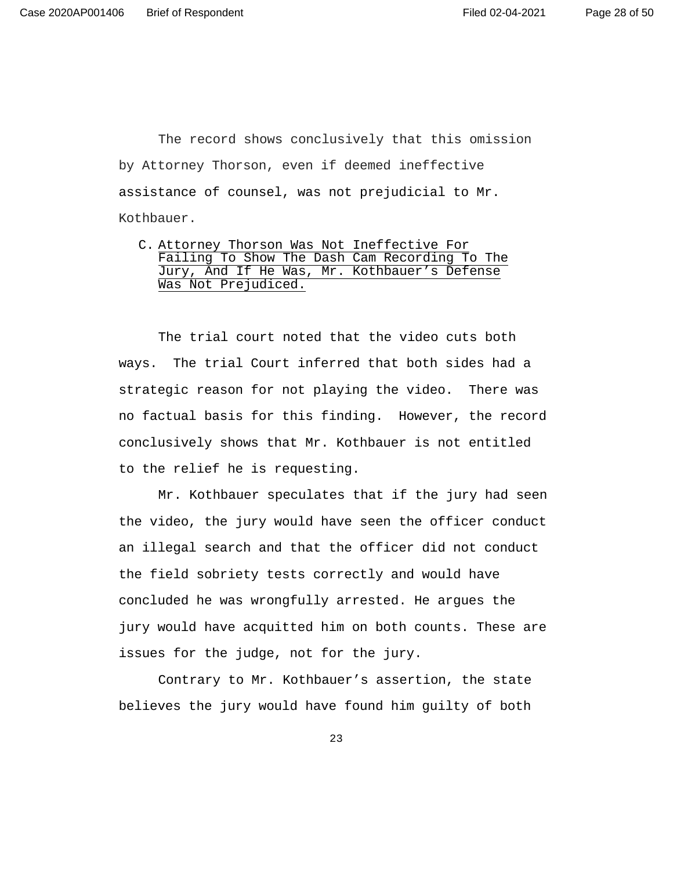The record shows conclusively that this omission by Attorney Thorson, even if deemed ineffective assistance of counsel, was not prejudicial to Mr. Kothbauer.

C. Attorney Thorson Was Not Ineffective For Failing To Show The Dash Cam Recording To The Jury, And If He Was, Mr. Kothbauer's Defense Was Not Prejudiced.

The trial court noted that the video cuts both ways. The trial Court inferred that both sides had a strategic reason for not playing the video. There was no factual basis for this finding. However, the record conclusively shows that Mr. Kothbauer is not entitled to the relief he is requesting.

Mr. Kothbauer speculates that if the jury had seen the video, the jury would have seen the officer conduct an illegal search and that the officer did not conduct the field sobriety tests correctly and would have concluded he was wrongfully arrested. He argues the jury would have acquitted him on both counts. These are issues for the judge, not for the jury.

 Contrary to Mr. Kothbauer's assertion, the state believes the jury would have found him guilty of both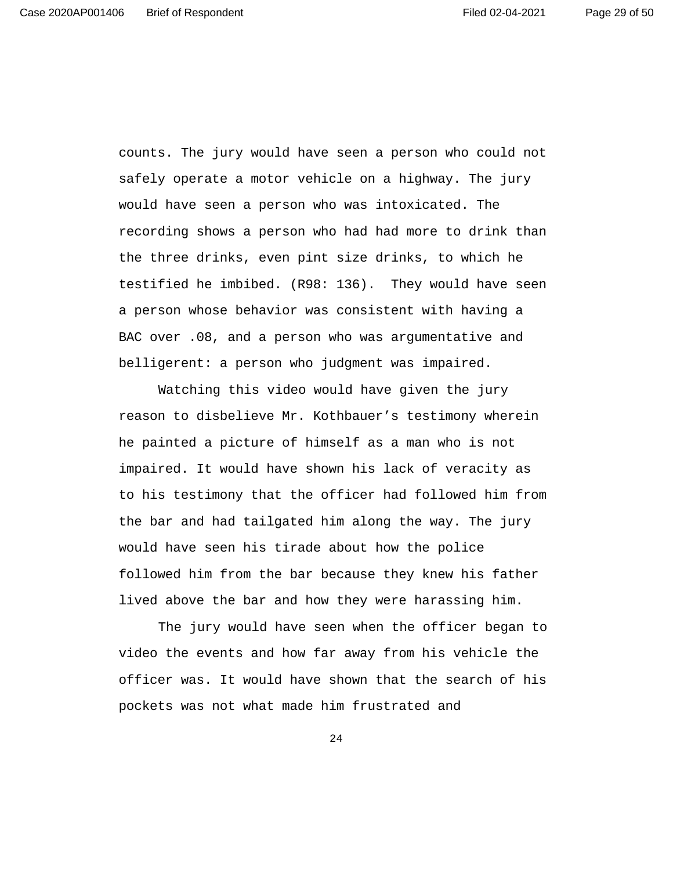counts. The jury would have seen a person who could not safely operate a motor vehicle on a highway. The jury would have seen a person who was intoxicated. The recording shows a person who had had more to drink than the three drinks, even pint size drinks, to which he testified he imbibed. (R98: 136). They would have seen a person whose behavior was consistent with having a BAC over .08, and a person who was argumentative and belligerent: a person who judgment was impaired.

 Watching this video would have given the jury reason to disbelieve Mr. Kothbauer's testimony wherein he painted a picture of himself as a man who is not impaired. It would have shown his lack of veracity as to his testimony that the officer had followed him from the bar and had tailgated him along the way. The jury would have seen his tirade about how the police followed him from the bar because they knew his father lived above the bar and how they were harassing him.

 The jury would have seen when the officer began to video the events and how far away from his vehicle the officer was. It would have shown that the search of his pockets was not what made him frustrated and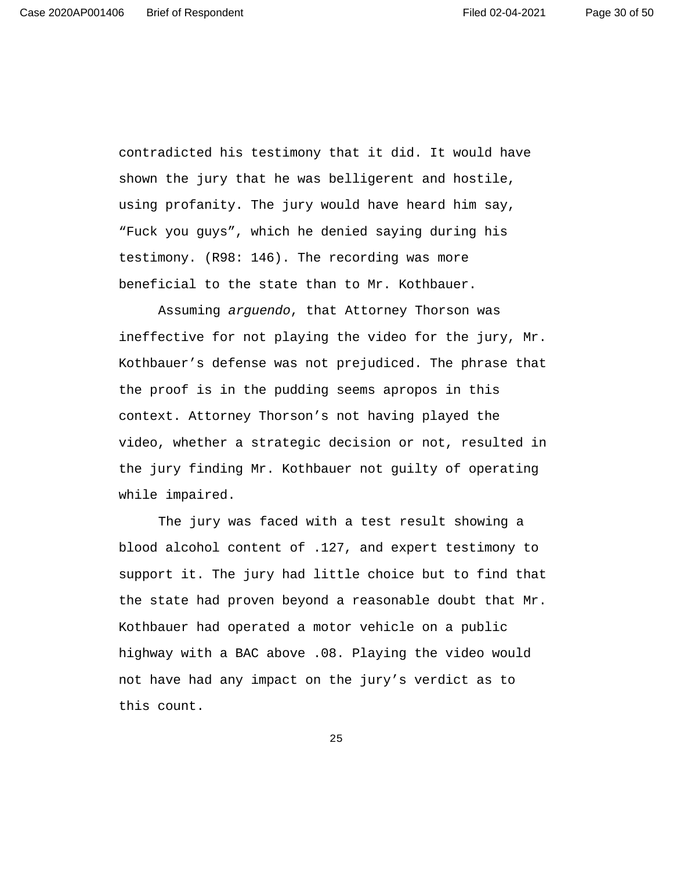contradicted his testimony that it did. It would have shown the jury that he was belligerent and hostile, using profanity. The jury would have heard him say, "Fuck you guys", which he denied saying during his testimony. (R98: 146). The recording was more beneficial to the state than to Mr. Kothbauer.

 Assuming arguendo, that Attorney Thorson was ineffective for not playing the video for the jury, Mr. Kothbauer's defense was not prejudiced. The phrase that the proof is in the pudding seems apropos in this context. Attorney Thorson's not having played the video, whether a strategic decision or not, resulted in the jury finding Mr. Kothbauer not guilty of operating while impaired.

 The jury was faced with a test result showing a blood alcohol content of .127, and expert testimony to support it. The jury had little choice but to find that the state had proven beyond a reasonable doubt that Mr. Kothbauer had operated a motor vehicle on a public highway with a BAC above .08. Playing the video would not have had any impact on the jury's verdict as to this count.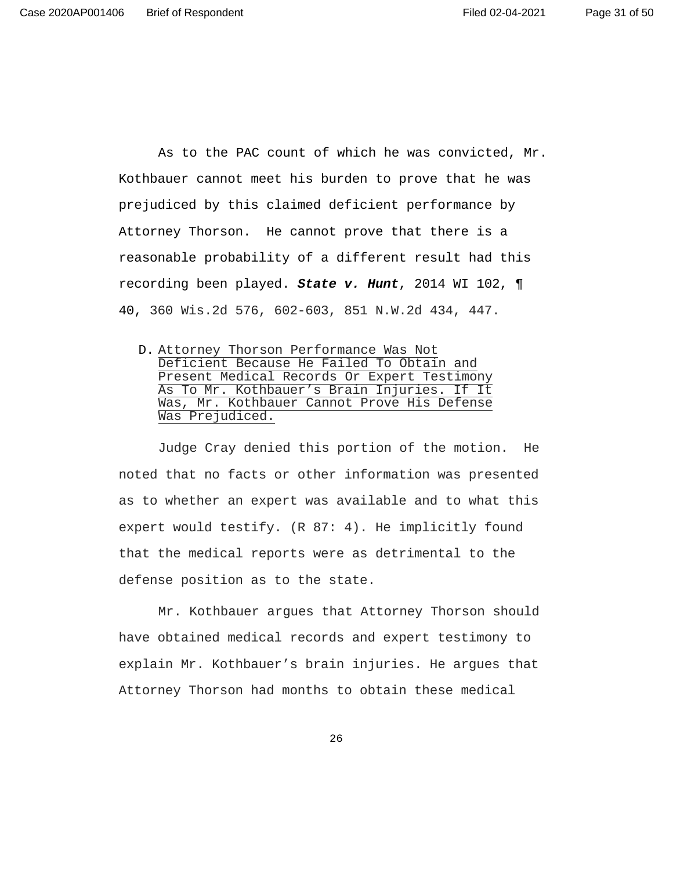Page 31 of 50

 As to the PAC count of which he was convicted, Mr. Kothbauer cannot meet his burden to prove that he was prejudiced by this claimed deficient performance by Attorney Thorson. He cannot prove that there is a reasonable probability of a different result had this recording been played. **State v. Hunt**, 2014 WI 102, ¶ 40, 360 Wis.2d 576, 602-603, 851 N.W.2d 434, 447.

D. Attorney Thorson Performance Was Not Deficient Because He Failed To Obtain and Present Medical Records Or Expert Testimony As To Mr. Kothbauer's Brain Injuries. If It Was, Mr. Kothbauer Cannot Prove His Defense Was Prejudiced.

 Judge Cray denied this portion of the motion. He noted that no facts or other information was presented as to whether an expert was available and to what this expert would testify. (R 87: 4). He implicitly found that the medical reports were as detrimental to the defense position as to the state.

Mr. Kothbauer argues that Attorney Thorson should have obtained medical records and expert testimony to explain Mr. Kothbauer's brain injuries. He argues that Attorney Thorson had months to obtain these medical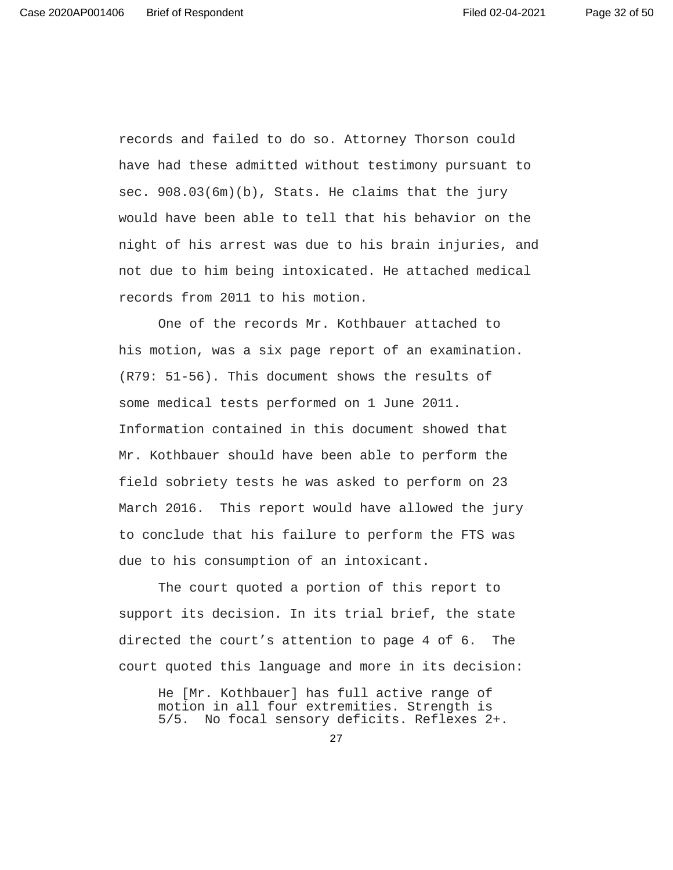records and failed to do so. Attorney Thorson could have had these admitted without testimony pursuant to sec. 908.03(6m)(b), Stats. He claims that the jury would have been able to tell that his behavior on the night of his arrest was due to his brain injuries, and not due to him being intoxicated. He attached medical records from 2011 to his motion.

One of the records Mr. Kothbauer attached to his motion, was a six page report of an examination. (R79: 51-56). This document shows the results of some medical tests performed on 1 June 2011. Information contained in this document showed that Mr. Kothbauer should have been able to perform the field sobriety tests he was asked to perform on 23 March 2016. This report would have allowed the jury to conclude that his failure to perform the FTS was due to his consumption of an intoxicant.

The court quoted a portion of this report to support its decision. In its trial brief, the state directed the court's attention to page 4 of 6. The court quoted this language and more in its decision:

He [Mr. Kothbauer] has full active range of motion in all four extremities. Strength is 5/5. No focal sensory deficits. Reflexes 2+.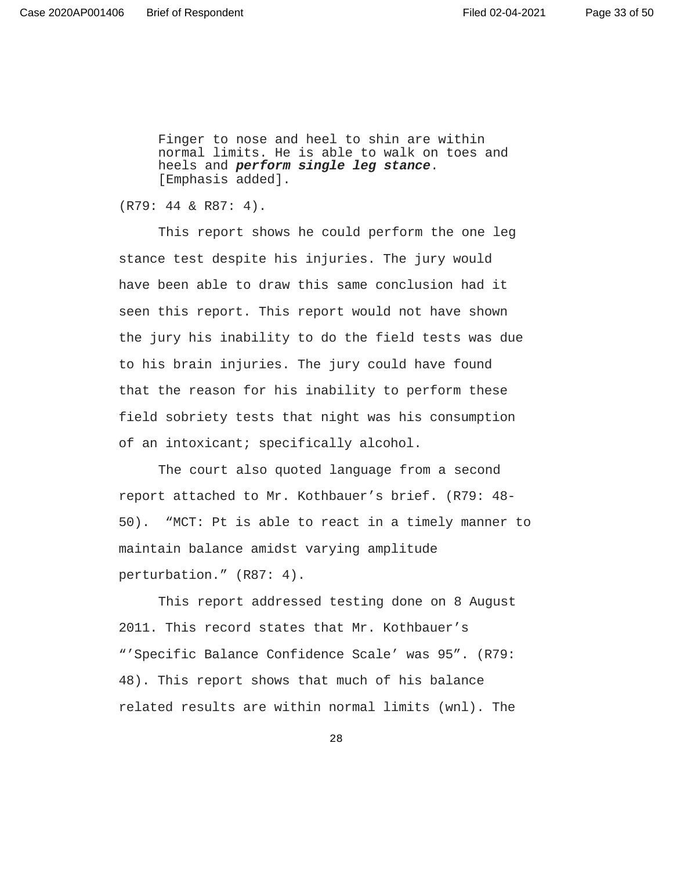Page 33 of 50

Finger to nose and heel to shin are within normal limits. He is able to walk on toes and heels and **perform single leg stance**. [Emphasis added].

(R79: 44 & R87: 4).

This report shows he could perform the one leg stance test despite his injuries. The jury would have been able to draw this same conclusion had it seen this report. This report would not have shown the jury his inability to do the field tests was due to his brain injuries. The jury could have found that the reason for his inability to perform these field sobriety tests that night was his consumption of an intoxicant; specifically alcohol.

The court also quoted language from a second report attached to Mr. Kothbauer's brief. (R79: 48- 50). "MCT: Pt is able to react in a timely manner to maintain balance amidst varying amplitude perturbation." (R87: 4).

This report addressed testing done on 8 August 2011. This record states that Mr. Kothbauer's "'Specific Balance Confidence Scale' was 95". (R79: 48). This report shows that much of his balance related results are within normal limits (wnl). The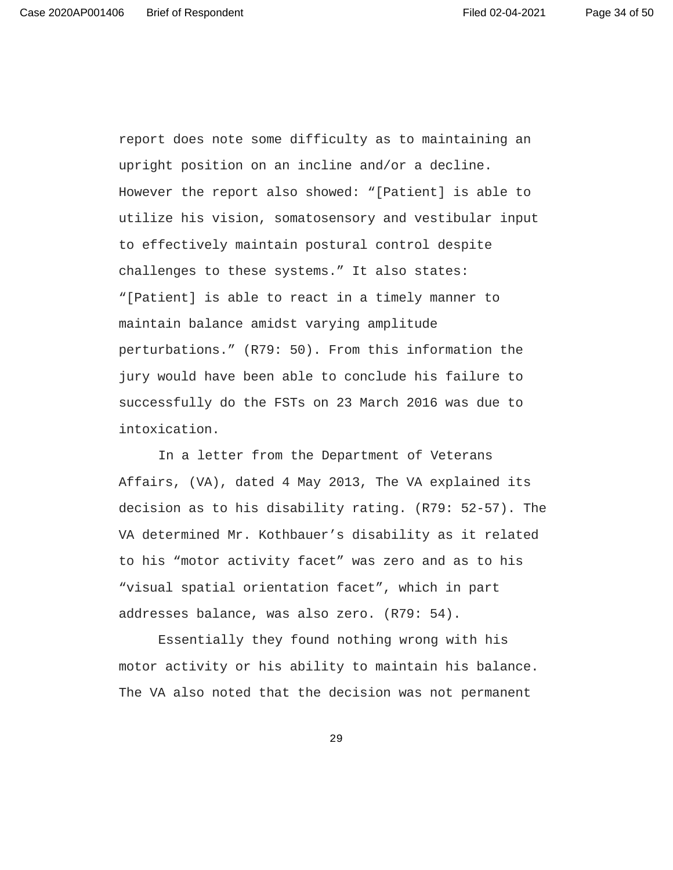report does note some difficulty as to maintaining an upright position on an incline and/or a decline. However the report also showed: "[Patient] is able to utilize his vision, somatosensory and vestibular input to effectively maintain postural control despite challenges to these systems." It also states: "[Patient] is able to react in a timely manner to maintain balance amidst varying amplitude perturbations." (R79: 50). From this information the jury would have been able to conclude his failure to successfully do the FSTs on 23 March 2016 was due to intoxication.

In a letter from the Department of Veterans Affairs, (VA), dated 4 May 2013, The VA explained its decision as to his disability rating. (R79: 52-57). The VA determined Mr. Kothbauer's disability as it related to his "motor activity facet" was zero and as to his "visual spatial orientation facet", which in part addresses balance, was also zero. (R79: 54).

 Essentially they found nothing wrong with his motor activity or his ability to maintain his balance. The VA also noted that the decision was not permanent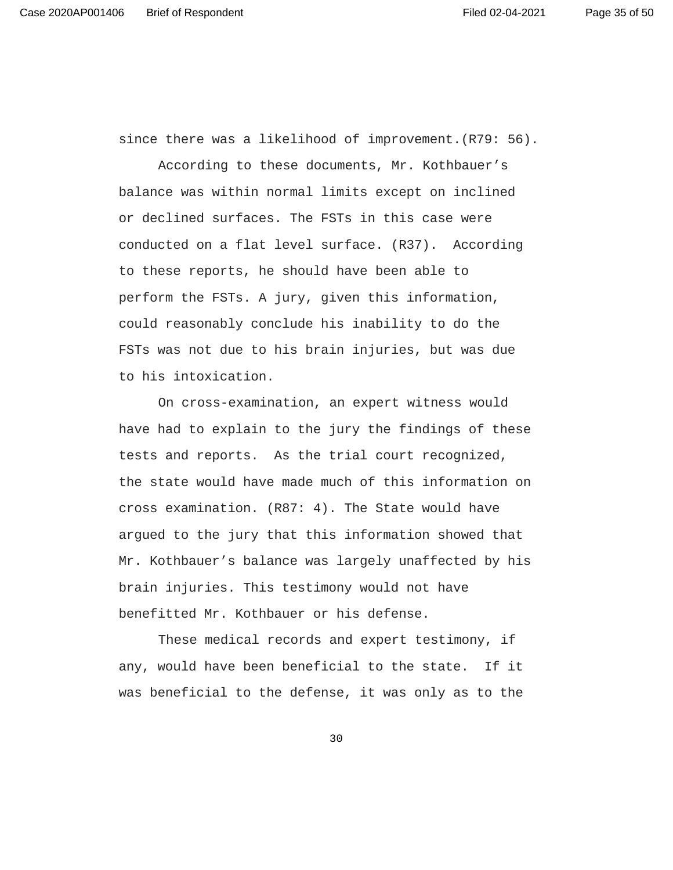since there was a likelihood of improvement.(R79: 56).

According to these documents, Mr. Kothbauer's balance was within normal limits except on inclined or declined surfaces. The FSTs in this case were conducted on a flat level surface. (R37). According to these reports, he should have been able to perform the FSTs. A jury, given this information, could reasonably conclude his inability to do the FSTs was not due to his brain injuries, but was due to his intoxication.

On cross-examination, an expert witness would have had to explain to the jury the findings of these tests and reports. As the trial court recognized, the state would have made much of this information on cross examination. (R87: 4). The State would have argued to the jury that this information showed that Mr. Kothbauer's balance was largely unaffected by his brain injuries. This testimony would not have benefitted Mr. Kothbauer or his defense.

 These medical records and expert testimony, if any, would have been beneficial to the state. If it was beneficial to the defense, it was only as to the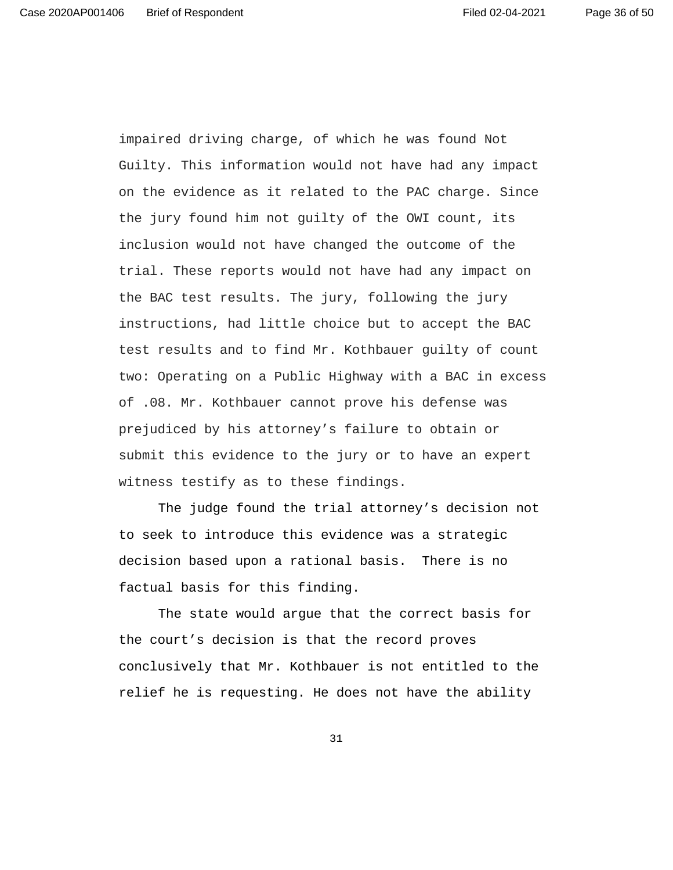Guilty. This information would not have had any impact on the evidence as it related to the PAC charge. Since the jury found him not guilty of the OWI count, its inclusion would not have changed the outcome of the trial. These reports would not have had any impact on the BAC test results. The jury, following the jury instructions, had little choice but to accept the BAC test results and to find Mr. Kothbauer guilty of count two: Operating on a Public Highway with a BAC in excess of .08. Mr. Kothbauer cannot prove his defense was prejudiced by his attorney's failure to obtain or submit this evidence to the jury or to have an expert witness testify as to these findings.

impaired driving charge, of which he was found Not

The judge found the trial attorney's decision not to seek to introduce this evidence was a strategic decision based upon a rational basis. There is no factual basis for this finding.

The state would argue that the correct basis for the court's decision is that the record proves conclusively that Mr. Kothbauer is not entitled to the relief he is requesting. He does not have the ability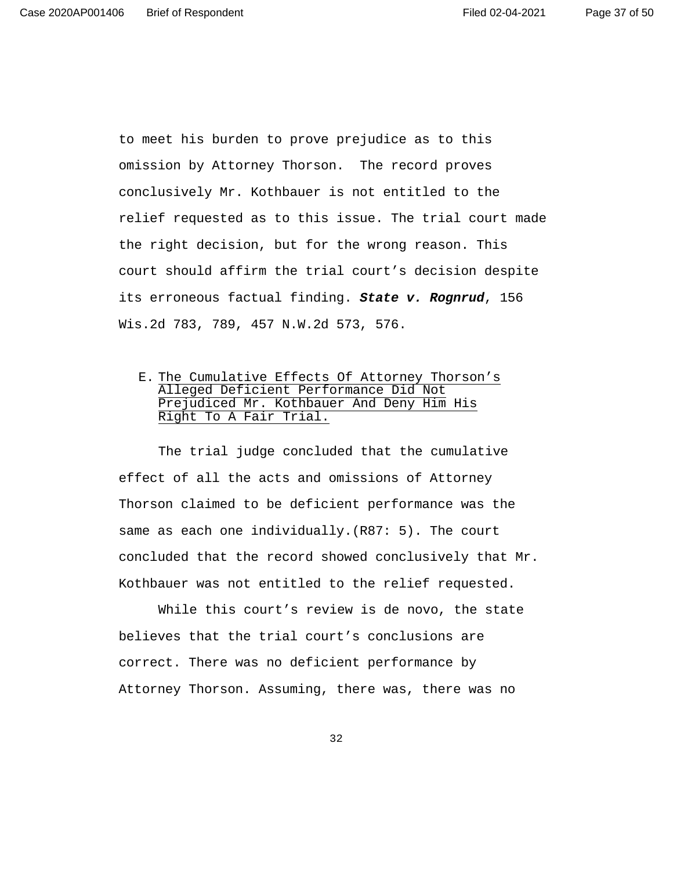to meet his burden to prove prejudice as to this omission by Attorney Thorson. The record proves conclusively Mr. Kothbauer is not entitled to the relief requested as to this issue. The trial court made the right decision, but for the wrong reason. This court should affirm the trial court's decision despite its erroneous factual finding. **State v. Rognrud**, 156 Wis.2d 783, 789, 457 N.W.2d 573, 576.

# E. The Cumulative Effects Of Attorney Thorson's Alleged Deficient Performance Did Not Prejudiced Mr. Kothbauer And Deny Him His Right To A Fair Trial.

 The trial judge concluded that the cumulative effect of all the acts and omissions of Attorney Thorson claimed to be deficient performance was the same as each one individually.(R87: 5). The court concluded that the record showed conclusively that Mr. Kothbauer was not entitled to the relief requested.

 While this court's review is de novo, the state believes that the trial court's conclusions are correct. There was no deficient performance by Attorney Thorson. Assuming, there was, there was no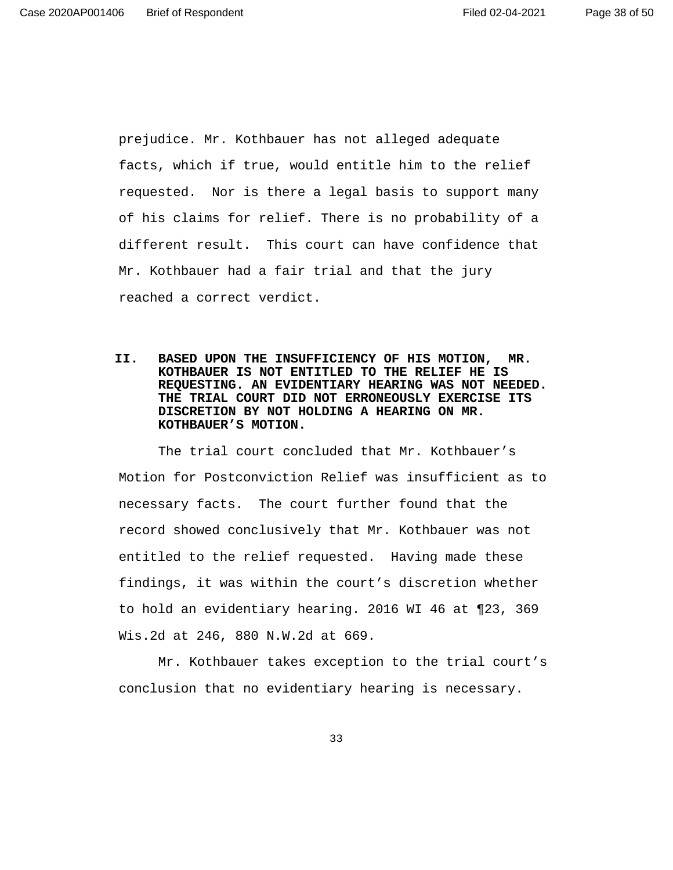prejudice. Mr. Kothbauer has not alleged adequate facts, which if true, would entitle him to the relief requested. Nor is there a legal basis to support many of his claims for relief. There is no probability of a different result. This court can have confidence that Mr. Kothbauer had a fair trial and that the jury reached a correct verdict.

**II. BASED UPON THE INSUFFICIENCY OF HIS MOTION, MR. KOTHBAUER IS NOT ENTITLED TO THE RELIEF HE IS REQUESTING. AN EVIDENTIARY HEARING WAS NOT NEEDED. THE TRIAL COURT DID NOT ERRONEOUSLY EXERCISE ITS DISCRETION BY NOT HOLDING A HEARING ON MR. KOTHBAUER'S MOTION.**

The trial court concluded that Mr. Kothbauer's Motion for Postconviction Relief was insufficient as to necessary facts. The court further found that the record showed conclusively that Mr. Kothbauer was not entitled to the relief requested. Having made these findings, it was within the court's discretion whether to hold an evidentiary hearing. 2016 WI 46 at ¶23, 369 Wis.2d at 246, 880 N.W.2d at 669.

 Mr. Kothbauer takes exception to the trial court's conclusion that no evidentiary hearing is necessary.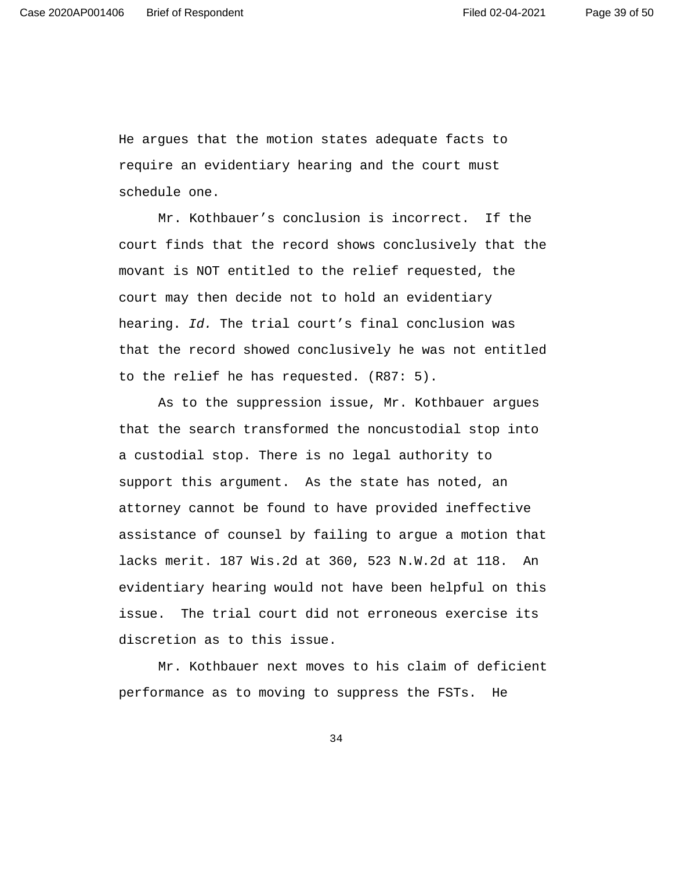He argues that the motion states adequate facts to require an evidentiary hearing and the court must schedule one.

 Mr. Kothbauer's conclusion is incorrect. If the court finds that the record shows conclusively that the movant is NOT entitled to the relief requested, the court may then decide not to hold an evidentiary hearing. Id. The trial court's final conclusion was that the record showed conclusively he was not entitled to the relief he has requested. (R87: 5).

 As to the suppression issue, Mr. Kothbauer argues that the search transformed the noncustodial stop into a custodial stop. There is no legal authority to support this argument. As the state has noted, an attorney cannot be found to have provided ineffective assistance of counsel by failing to argue a motion that lacks merit. 187 Wis.2d at 360, 523 N.W.2d at 118. An evidentiary hearing would not have been helpful on this issue. The trial court did not erroneous exercise its discretion as to this issue.

 Mr. Kothbauer next moves to his claim of deficient performance as to moving to suppress the FSTs. He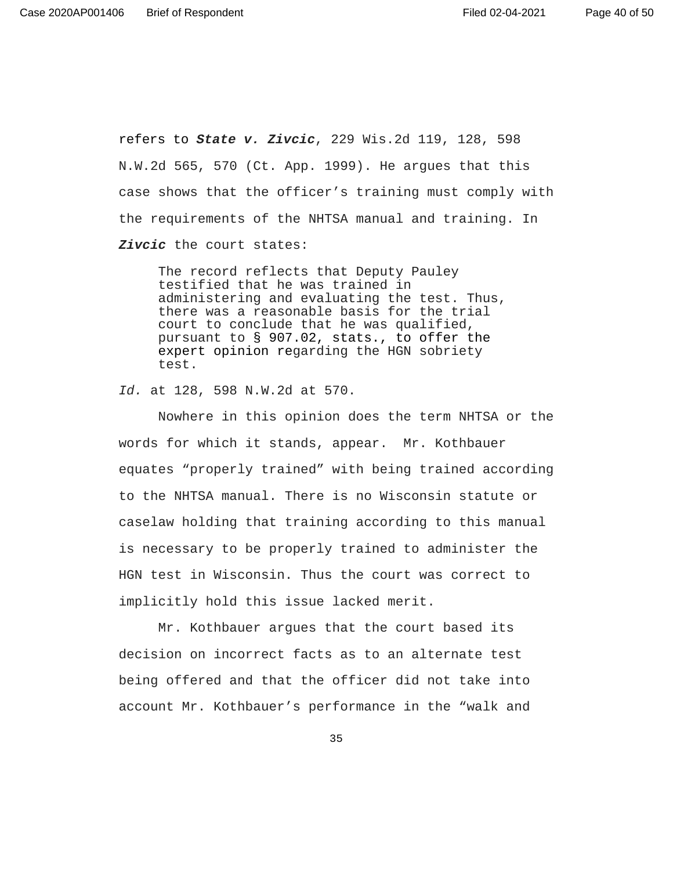Page 40 of 50

refers to **State v. Zivcic**, 229 Wis.2d 119, 128, 598 N.W.2d 565, 570 (Ct. App. 1999). He argues that this case shows that the officer's training must comply with the requirements of the NHTSA manual and training. In **Zivcic** the court states:

The record reflects that Deputy Pauley testified that he was trained in administering and evaluating the test. Thus, there was a reasonable basis for the trial court to conclude that he was qualified, pursuant to § 907.02, stats., to offer the expert opinion regarding the HGN sobriety test.

Id. at 128, 598 N.W.2d at 570.

 Nowhere in this opinion does the term NHTSA or the words for which it stands, appear. Mr. Kothbauer equates "properly trained" with being trained according to the NHTSA manual. There is no Wisconsin statute or caselaw holding that training according to this manual is necessary to be properly trained to administer the HGN test in Wisconsin. Thus the court was correct to implicitly hold this issue lacked merit.

 Mr. Kothbauer argues that the court based its decision on incorrect facts as to an alternate test being offered and that the officer did not take into account Mr. Kothbauer's performance in the "walk and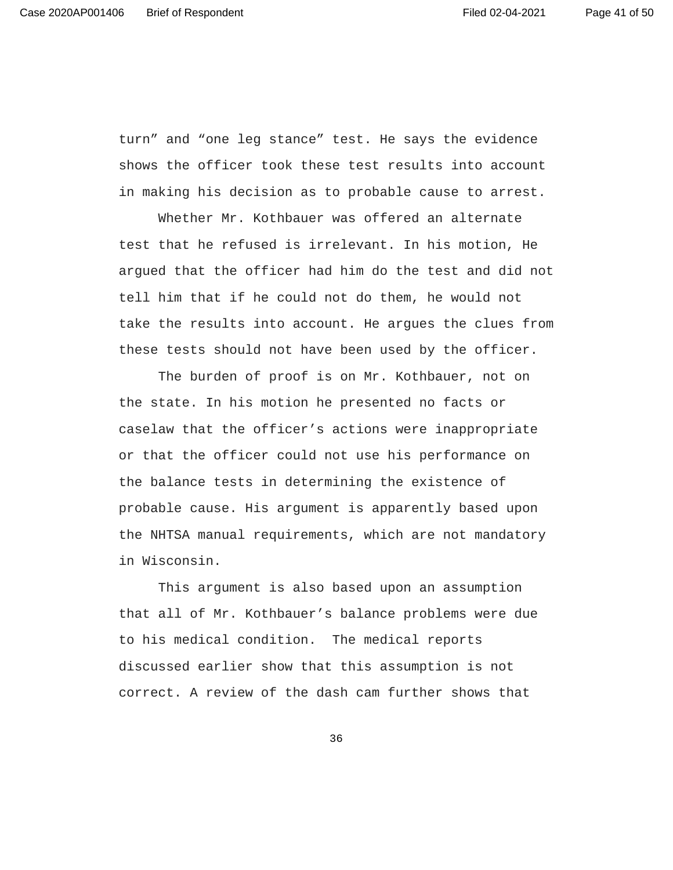turn" and "one leg stance" test. He says the evidence shows the officer took these test results into account in making his decision as to probable cause to arrest.

 Whether Mr. Kothbauer was offered an alternate test that he refused is irrelevant. In his motion, He argued that the officer had him do the test and did not tell him that if he could not do them, he would not take the results into account. He argues the clues from these tests should not have been used by the officer.

 The burden of proof is on Mr. Kothbauer, not on the state. In his motion he presented no facts or caselaw that the officer's actions were inappropriate or that the officer could not use his performance on the balance tests in determining the existence of probable cause. His argument is apparently based upon the NHTSA manual requirements, which are not mandatory in Wisconsin.

 This argument is also based upon an assumption that all of Mr. Kothbauer's balance problems were due to his medical condition. The medical reports discussed earlier show that this assumption is not correct. A review of the dash cam further shows that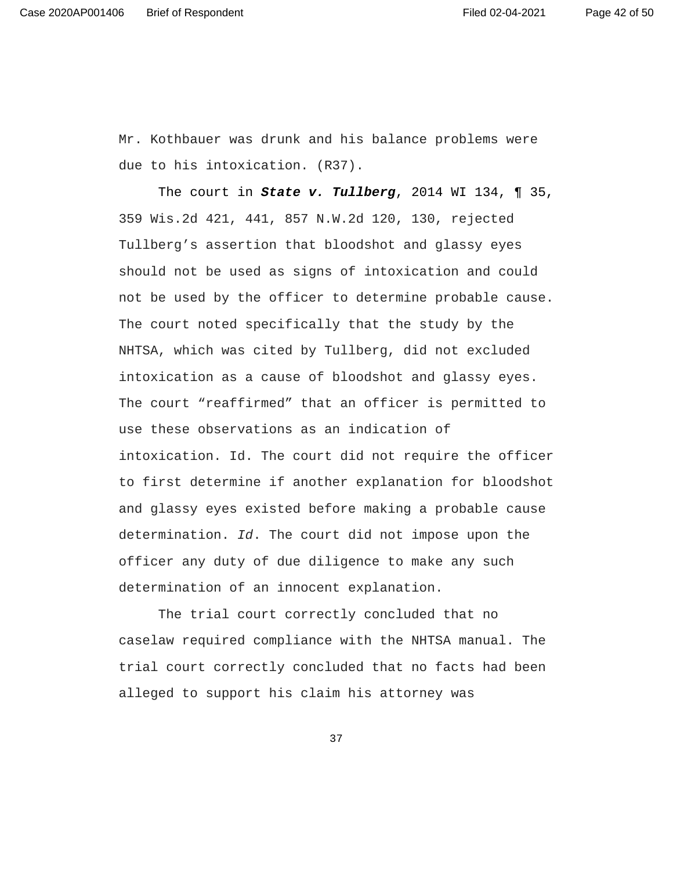Page 42 of 50

Mr. Kothbauer was drunk and his balance problems were due to his intoxication. (R37).

The court in **State v. Tullberg**, 2014 WI 134, ¶ 35, 359 Wis.2d 421, 441, 857 N.W.2d 120, 130, rejected Tullberg's assertion that bloodshot and glassy eyes should not be used as signs of intoxication and could not be used by the officer to determine probable cause. The court noted specifically that the study by the NHTSA, which was cited by Tullberg, did not excluded intoxication as a cause of bloodshot and glassy eyes. The court "reaffirmed" that an officer is permitted to use these observations as an indication of intoxication. Id. The court did not require the officer to first determine if another explanation for bloodshot and glassy eyes existed before making a probable cause determination. Id. The court did not impose upon the officer any duty of due diligence to make any such determination of an innocent explanation.

 The trial court correctly concluded that no caselaw required compliance with the NHTSA manual. The trial court correctly concluded that no facts had been alleged to support his claim his attorney was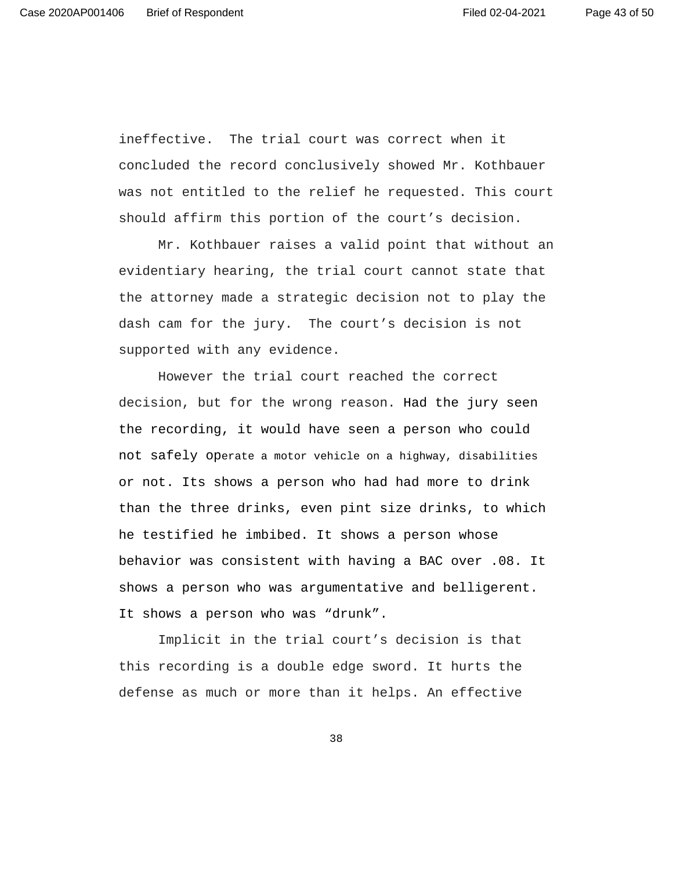ineffective. The trial court was correct when it concluded the record conclusively showed Mr. Kothbauer was not entitled to the relief he requested. This court should affirm this portion of the court's decision.

 Mr. Kothbauer raises a valid point that without an evidentiary hearing, the trial court cannot state that the attorney made a strategic decision not to play the dash cam for the jury. The court's decision is not supported with any evidence.

 However the trial court reached the correct decision, but for the wrong reason. Had the jury seen the recording, it would have seen a person who could not safely operate a motor vehicle on a highway, disabilities or not. Its shows a person who had had more to drink than the three drinks, even pint size drinks, to which he testified he imbibed. It shows a person whose behavior was consistent with having a BAC over .08. It shows a person who was argumentative and belligerent. It shows a person who was "drunk".

 Implicit in the trial court's decision is that this recording is a double edge sword. It hurts the defense as much or more than it helps. An effective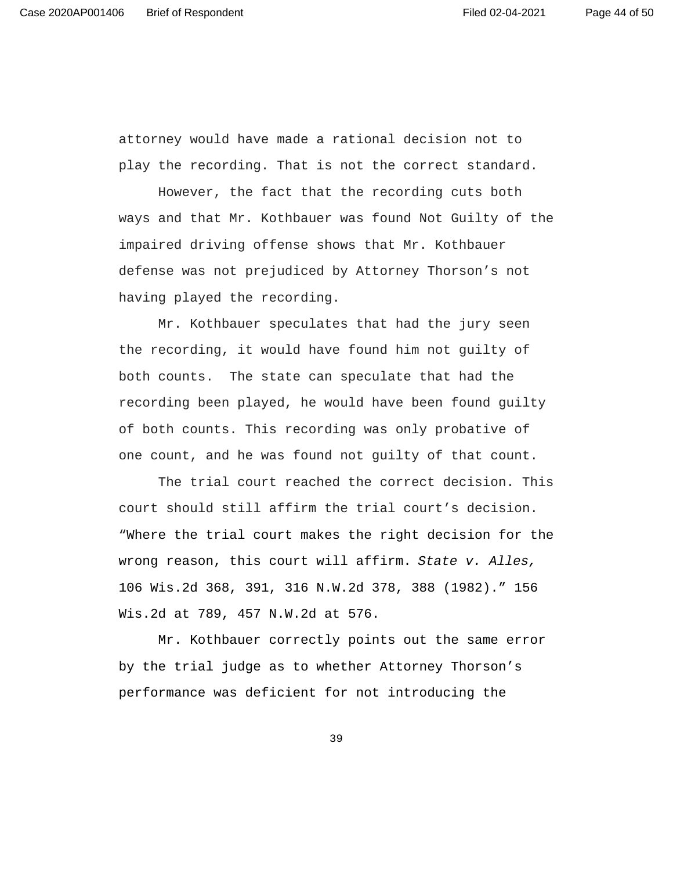attorney would have made a rational decision not to play the recording. That is not the correct standard.

 However, the fact that the recording cuts both ways and that Mr. Kothbauer was found Not Guilty of the impaired driving offense shows that Mr. Kothbauer defense was not prejudiced by Attorney Thorson's not having played the recording.

 Mr. Kothbauer speculates that had the jury seen the recording, it would have found him not guilty of both counts. The state can speculate that had the recording been played, he would have been found guilty of both counts. This recording was only probative of one count, and he was found not guilty of that count.

 The trial court reached the correct decision. This court should still affirm the trial court's decision. "Where the trial court makes the right decision for the wrong reason, this court will affirm. State v. Alles, 106 Wis.2d 368, 391, 316 N.W.2d 378, 388 (1982)." 156 Wis.2d at 789, 457 N.W.2d at 576.

Mr. Kothbauer correctly points out the same error by the trial judge as to whether Attorney Thorson's performance was deficient for not introducing the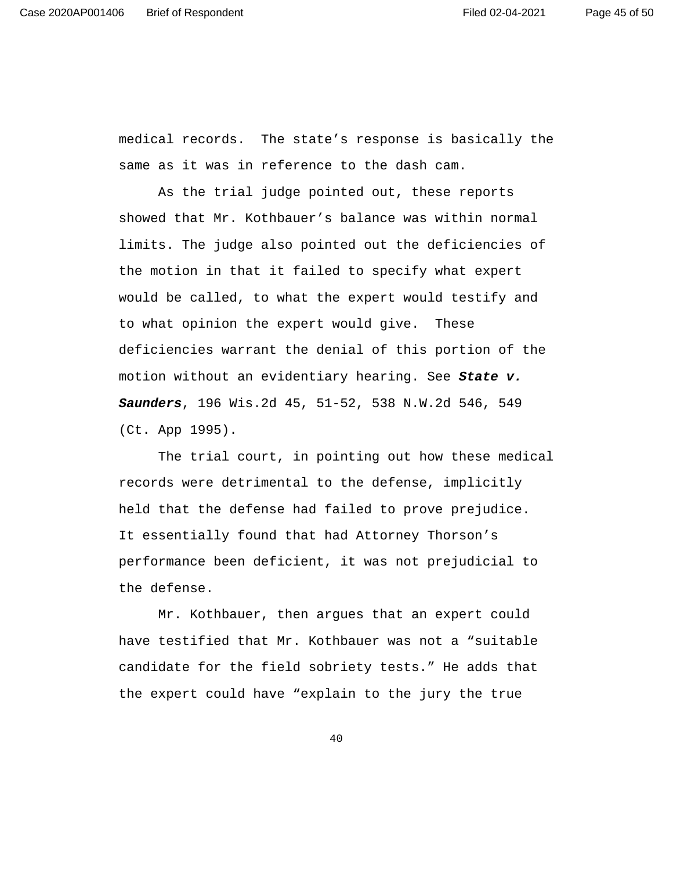medical records. The state's response is basically the same as it was in reference to the dash cam.

As the trial judge pointed out, these reports showed that Mr. Kothbauer's balance was within normal limits. The judge also pointed out the deficiencies of the motion in that it failed to specify what expert would be called, to what the expert would testify and to what opinion the expert would give. These deficiencies warrant the denial of this portion of the motion without an evidentiary hearing. See **State v. Saunders**, 196 Wis.2d 45, 51-52, 538 N.W.2d 546, 549 (Ct. App 1995).

The trial court, in pointing out how these medical records were detrimental to the defense, implicitly held that the defense had failed to prove prejudice. It essentially found that had Attorney Thorson's performance been deficient, it was not prejudicial to the defense.

Mr. Kothbauer, then argues that an expert could have testified that Mr. Kothbauer was not a "suitable candidate for the field sobriety tests." He adds that the expert could have "explain to the jury the true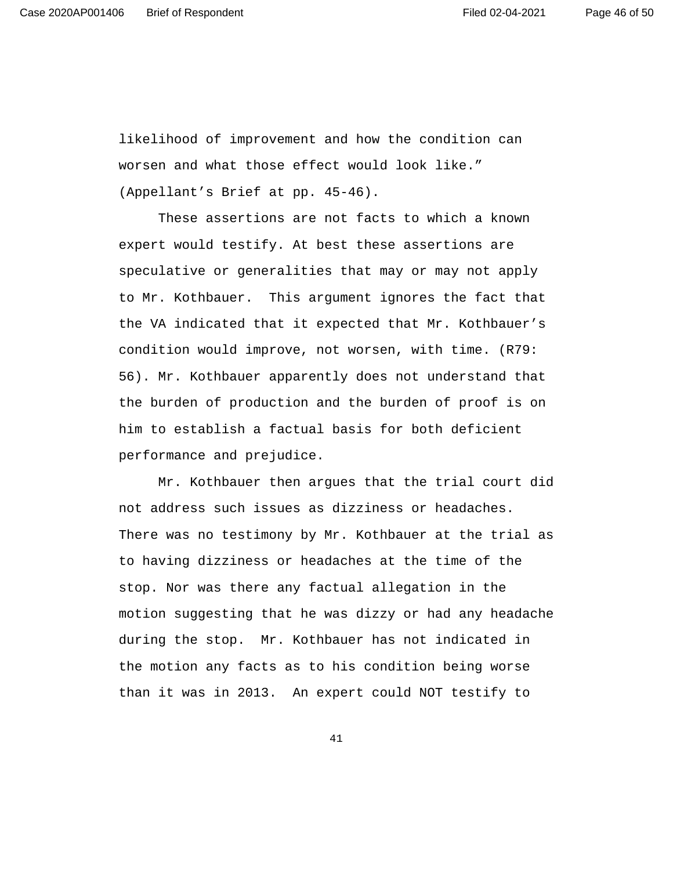likelihood of improvement and how the condition can worsen and what those effect would look like." (Appellant's Brief at pp. 45-46).

These assertions are not facts to which a known expert would testify. At best these assertions are speculative or generalities that may or may not apply to Mr. Kothbauer. This argument ignores the fact that the VA indicated that it expected that Mr. Kothbauer's condition would improve, not worsen, with time. (R79: 56). Mr. Kothbauer apparently does not understand that the burden of production and the burden of proof is on him to establish a factual basis for both deficient performance and prejudice.

Mr. Kothbauer then argues that the trial court did not address such issues as dizziness or headaches. There was no testimony by Mr. Kothbauer at the trial as to having dizziness or headaches at the time of the stop. Nor was there any factual allegation in the motion suggesting that he was dizzy or had any headache during the stop. Mr. Kothbauer has not indicated in the motion any facts as to his condition being worse than it was in 2013. An expert could NOT testify to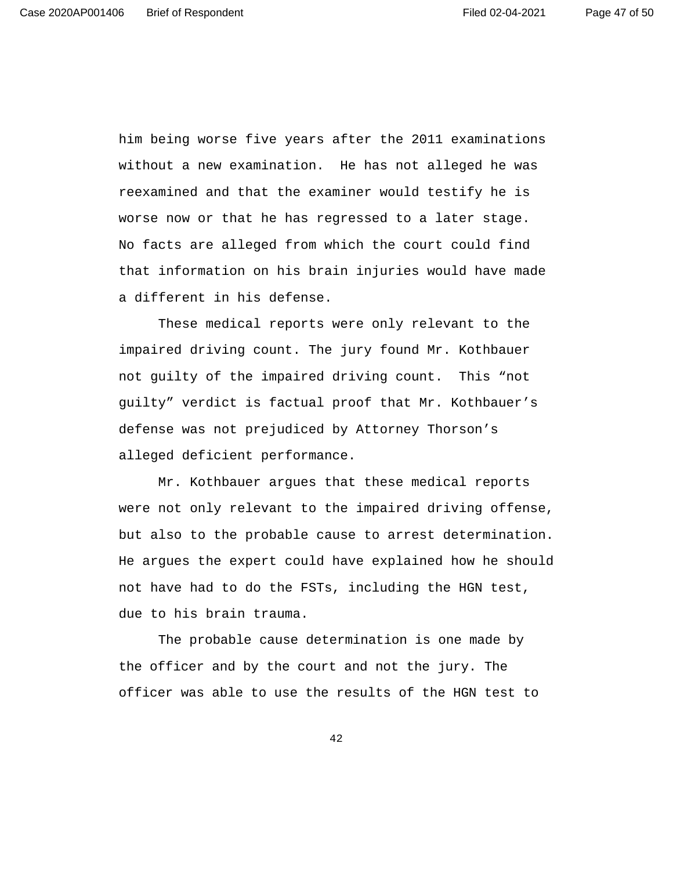him being worse five years after the 2011 examinations without a new examination. He has not alleged he was reexamined and that the examiner would testify he is worse now or that he has regressed to a later stage. No facts are alleged from which the court could find that information on his brain injuries would have made a different in his defense.

These medical reports were only relevant to the impaired driving count. The jury found Mr. Kothbauer not guilty of the impaired driving count. This "not guilty" verdict is factual proof that Mr. Kothbauer's defense was not prejudiced by Attorney Thorson's alleged deficient performance.

Mr. Kothbauer argues that these medical reports were not only relevant to the impaired driving offense, but also to the probable cause to arrest determination. He argues the expert could have explained how he should not have had to do the FSTs, including the HGN test, due to his brain trauma.

The probable cause determination is one made by the officer and by the court and not the jury. The officer was able to use the results of the HGN test to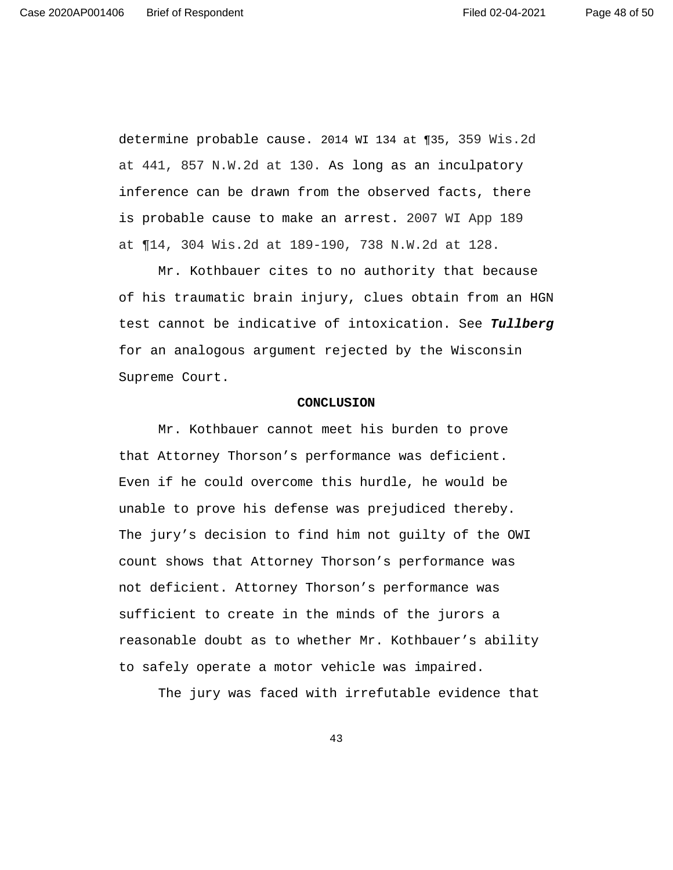determine probable cause. 2014 WI 134 at ¶35, 359 Wis.2d at 441, 857 N.W.2d at 130. As long as an inculpatory inference can be drawn from the observed facts, there is probable cause to make an arrest. 2007 WI App 189 at ¶14, 304 Wis.2d at 189-190, 738 N.W.2d at 128.

Mr. Kothbauer cites to no authority that because of his traumatic brain injury, clues obtain from an HGN test cannot be indicative of intoxication. See **Tullberg** for an analogous argument rejected by the Wisconsin Supreme Court.

### **CONCLUSION**

Mr. Kothbauer cannot meet his burden to prove that Attorney Thorson's performance was deficient. Even if he could overcome this hurdle, he would be unable to prove his defense was prejudiced thereby. The jury's decision to find him not guilty of the OWI count shows that Attorney Thorson's performance was not deficient. Attorney Thorson's performance was sufficient to create in the minds of the jurors a reasonable doubt as to whether Mr. Kothbauer's ability to safely operate a motor vehicle was impaired.

The jury was faced with irrefutable evidence that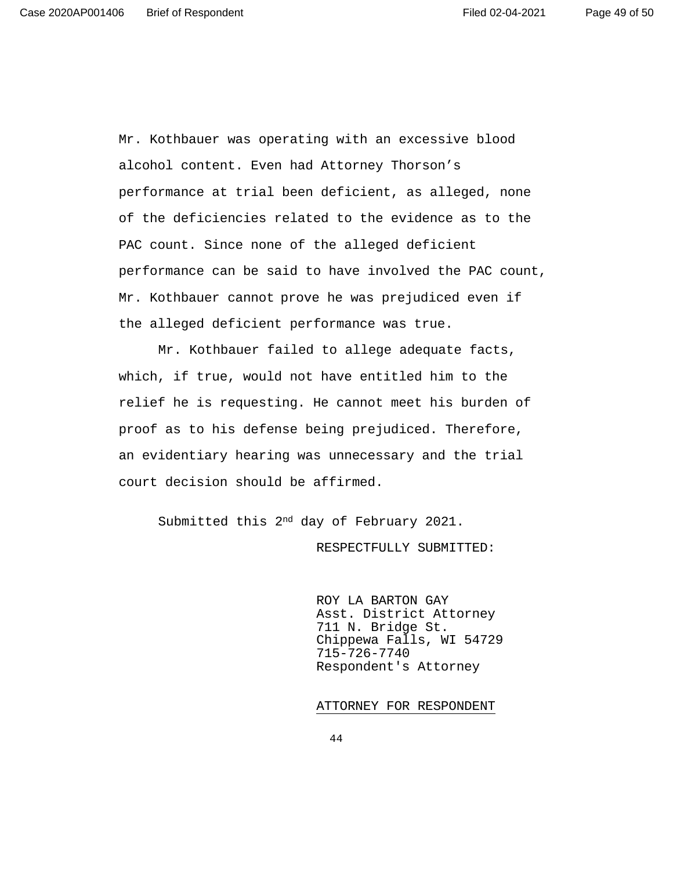Mr. Kothbauer was operating with an excessive blood alcohol content. Even had Attorney Thorson's performance at trial been deficient, as alleged, none of the deficiencies related to the evidence as to the PAC count. Since none of the alleged deficient performance can be said to have involved the PAC count, Mr. Kothbauer cannot prove he was prejudiced even if the alleged deficient performance was true.

Mr. Kothbauer failed to allege adequate facts, which, if true, would not have entitled him to the relief he is requesting. He cannot meet his burden of proof as to his defense being prejudiced. Therefore, an evidentiary hearing was unnecessary and the trial court decision should be affirmed.

Submitted this 2nd day of February 2021.

RESPECTFULLY SUBMITTED:

 ROY LA BARTON GAY Asst. District Attorney 711 N. Bridge St. Chippewa Falls, WI 54729 715-726-7740 Respondent's Attorney

#### ATTORNEY FOR RESPONDENT